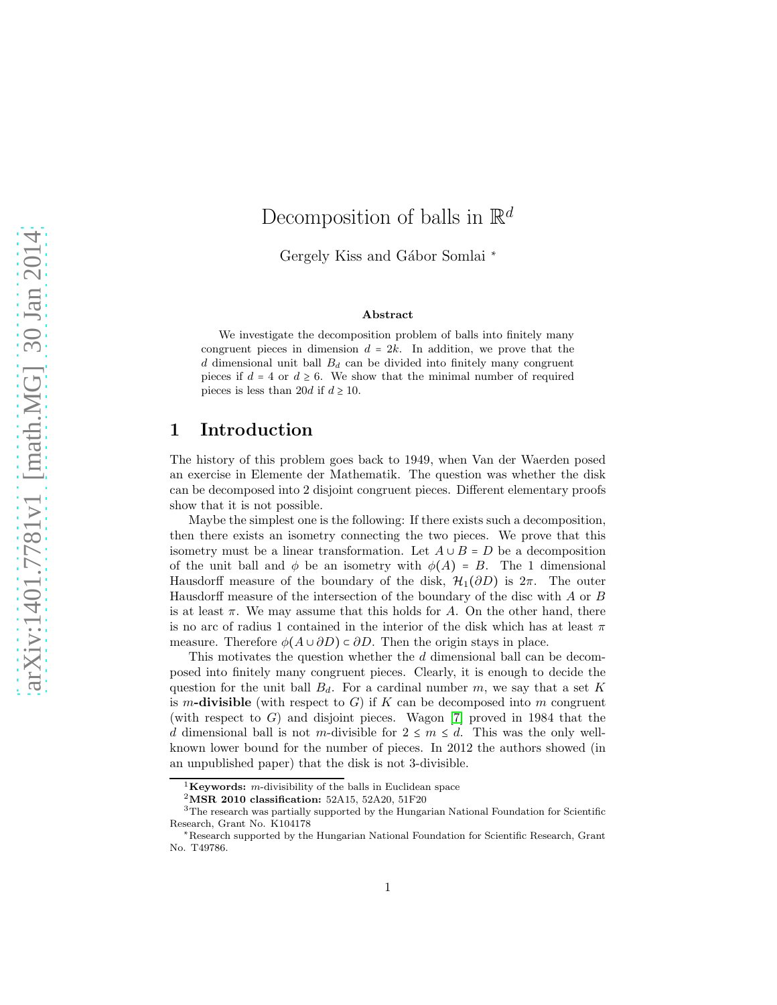# Decomposition of balls in  $\mathbb{R}^d$

Gergely Kiss and Gábor Somlai <sup>∗</sup>

#### Abstract

We investigate the decomposition problem of balls into finitely many congruent pieces in dimension  $d = 2k$ . In addition, we prove that the  $d$  dimensional unit ball  $B_d$  can be divided into finitely many congruent pieces if  $d = 4$  or  $d \ge 6$ . We show that the minimal number of required pieces is less than 20d if  $d \ge 10$ .

### 1 Introduction

The history of this problem goes back to 1949, when Van der Waerden posed an exercise in Elemente der Mathematik. The question was whether the disk can be decomposed into 2 disjoint congruent pieces. Different elementary proofs show that it is not possible.

Maybe the simplest one is the following: If there exists such a decomposition, then there exists an isometry connecting the two pieces. We prove that this isometry must be a linear transformation. Let  $A \cup B = D$  be a decomposition of the unit ball and  $\phi$  be an isometry with  $\phi(A) = B$ . The 1 dimensional Hausdorff measure of the boundary of the disk,  $\mathcal{H}_1(\partial D)$  is  $2\pi$ . The outer Hausdorff measure of the intersection of the boundary of the disc with A or B is at least  $\pi$ . We may assume that this holds for A. On the other hand, there is no arc of radius 1 contained in the interior of the disk which has at least  $\pi$ measure. Therefore  $\phi(A \cup \partial D) \subset \partial D$ . Then the origin stays in place.

This motivates the question whether the d dimensional ball can be decomposed into finitely many congruent pieces. Clearly, it is enough to decide the question for the unit ball  $B_d$ . For a cardinal number m, we say that a set K is m-divisible (with respect to G) if K can be decomposed into m congruent (with respect to  $G$ ) and disjoint pieces. Wagon [\[7\]](#page-26-0) proved in 1984 that the d dimensional ball is not m-divisible for  $2 \leq m \leq d$ . This was the only wellknown lower bound for the number of pieces. In 2012 the authors showed (in an unpublished paper) that the disk is not 3-divisible.

<sup>&</sup>lt;sup>1</sup>Keywords: *m*-divisibility of the balls in Euclidean space

 $^{2}$ MSR 2010 classification: 52A15, 52A20, 51F20

<sup>&</sup>lt;sup>3</sup>The research was partially supported by the Hungarian National Foundation for Scientific Research, Grant No. K104178

<sup>∗</sup>Research supported by the Hungarian National Foundation for Scientific Research, Grant No. T49786.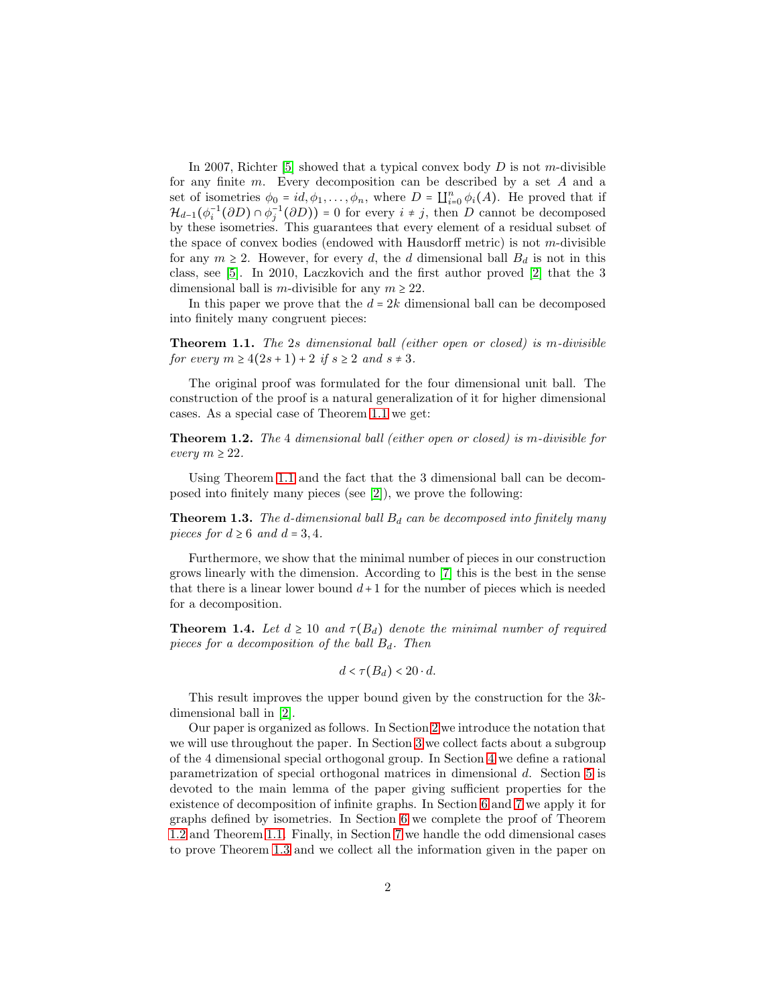In 2007, Richter [\[5\]](#page-26-1) showed that a typical convex body  $D$  is not m-divisible for any finite m. Every decomposition can be described by a set A and a set of isometries  $\phi_0 = id, \phi_1, \dots, \phi_n$ , where  $D = \coprod_{i=0}^n \phi_i(A)$ . He proved that if  $\mathcal{H}_{d-1}(\phi_i^{-1}(\partial D) \cap \phi_j^{-1}(\partial D)) = 0$  for every  $i \neq j$ , then D cannot be decomposed by these isometries. This guarantees that every element of a residual subset of the space of convex bodies (endowed with Hausdorff metric) is not  $m$ -divisible for any  $m \geq 2$ . However, for every d, the d dimensional ball  $B_d$  is not in this class, see [\[5\]](#page-26-1). In 2010, Laczkovich and the first author proved [\[2\]](#page-26-2) that the 3 dimensional ball is m-divisible for any  $m \geq 22$ .

In this paper we prove that the  $d = 2k$  dimensional ball can be decomposed into finitely many congruent pieces:

<span id="page-1-0"></span>Theorem 1.1. The 2s dimensional ball (either open or closed) is m-divisible for every  $m \geq 4(2s+1) + 2$  if  $s \geq 2$  and  $s \neq 3$ .

The original proof was formulated for the four dimensional unit ball. The construction of the proof is a natural generalization of it for higher dimensional cases. As a special case of Theorem [1.1](#page-1-0) we get:

<span id="page-1-1"></span>Theorem 1.2. The 4 dimensional ball (either open or closed) is m-divisible for every  $m \geq 22$ .

Using Theorem [1.1](#page-1-0) and the fact that the 3 dimensional ball can be decomposed into finitely many pieces (see [\[2\]](#page-26-2)), we prove the following:

<span id="page-1-2"></span>**Theorem 1.3.** The d-dimensional ball  $B_d$  can be decomposed into finitely many pieces for  $d \geq 6$  and  $d = 3, 4$ .

Furthermore, we show that the minimal number of pieces in our construction grows linearly with the dimension. According to [\[7\]](#page-26-0) this is the best in the sense that there is a linear lower bound  $d+1$  for the number of pieces which is needed for a decomposition.

<span id="page-1-3"></span>**Theorem 1.4.** Let  $d \geq 10$  and  $\tau(B_d)$  denote the minimal number of required pieces for a decomposition of the ball  $B_d$ . Then

$$
d < \tau(B_d) < 20 \cdot d.
$$

This result improves the upper bound given by the construction for the 3kdimensional ball in [\[2\]](#page-26-2).

Our paper is organized as follows. In Section [2](#page-2-0) we introduce the notation that we will use throughout the paper. In Section [3](#page-2-1) we collect facts about a subgroup of the 4 dimensional special orthogonal group. In Section [4](#page-7-0) we define a rational parametrization of special orthogonal matrices in dimensional d. Section [5](#page-8-0) is devoted to the main lemma of the paper giving sufficient properties for the existence of decomposition of infinite graphs. In Section [6](#page-17-0) and [7](#page-21-0) we apply it for graphs defined by isometries. In Section [6](#page-17-0) we complete the proof of Theorem [1.2](#page-1-1) and Theorem [1.1.](#page-1-0) Finally, in Section [7](#page-21-0) we handle the odd dimensional cases to prove Theorem [1.3](#page-1-2) and we collect all the information given in the paper on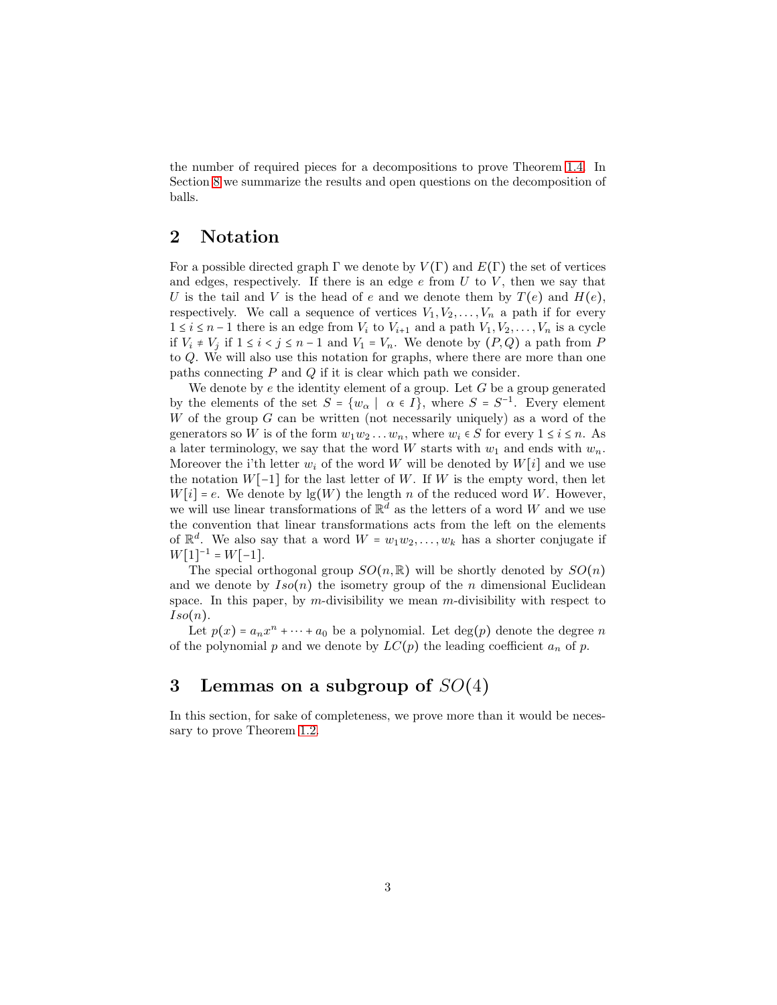the number of required pieces for a decompositions to prove Theorem [1.4.](#page-1-3) In Section [8](#page-25-0) we summarize the results and open questions on the decomposition of balls.

## <span id="page-2-0"></span>2 Notation

For a possible directed graph  $\Gamma$  we denote by  $V(\Gamma)$  and  $E(\Gamma)$  the set of vertices and edges, respectively. If there is an edge  $e$  from  $U$  to  $V$ , then we say that U is the tail and V is the head of e and we denote them by  $T(e)$  and  $H(e)$ , respectively. We call a sequence of vertices  $V_1, V_2, \ldots, V_n$  a path if for every  $1 \leq i \leq n-1$  there is an edge from  $V_i$  to  $V_{i+1}$  and a path  $V_1, V_2, \ldots, V_n$  is a cycle if  $V_i$  ≠  $V_j$  if  $1 \le i < j \le n-1$  and  $V_1 = V_n$ . We denote by  $(P,Q)$  a path from P to Q. We will also use this notation for graphs, where there are more than one paths connecting  $P$  and  $Q$  if it is clear which path we consider.

We denote by  $e$  the identity element of a group. Let  $G$  be a group generated by the elements of the set  $S = \{w_{\alpha} \mid \alpha \in I\}$ , where  $S = S^{-1}$ . Every element W of the group  $G$  can be written (not necessarily uniquely) as a word of the generators so W is of the form  $w_1w_2 \ldots w_n$ , where  $w_i \in S$  for every  $1 \le i \le n$ . As a later terminology, we say that the word W starts with  $w_1$  and ends with  $w_n$ . Moreover the i'th letter  $w_i$  of the word W will be denoted by  $W[i]$  and we use the notation  $W[-1]$  for the last letter of W. If W is the empty word, then let  $W[i] = e$ . We denote by  $\lg(W)$  the length n of the reduced word W. However, we will use linear transformations of  $\mathbb{R}^d$  as the letters of a word W and we use the convention that linear transformations acts from the left on the elements of  $\mathbb{R}^d$ . We also say that a word  $W = w_1w_2, \ldots, w_k$  has a shorter conjugate if  $W[1]^{-1} = W[-1].$ 

The special orthogonal group  $SO(n,\mathbb{R})$  will be shortly denoted by  $SO(n)$ and we denote by  $Iso(n)$  the isometry group of the n dimensional Euclidean space. In this paper, by m-divisibility we mean  $m$ -divisibility with respect to  $Iso(n).$ 

Let  $p(x) = a_n x^n + \dots + a_0$  be a polynomial. Let  $deg(p)$  denote the degree n of the polynomial p and we denote by  $LC(p)$  the leading coefficient  $a_n$  of p.

## <span id="page-2-1"></span>3 Lemmas on a subgroup of  $SO(4)$

In this section, for sake of completeness, we prove more than it would be necessary to prove Theorem [1.2.](#page-1-1)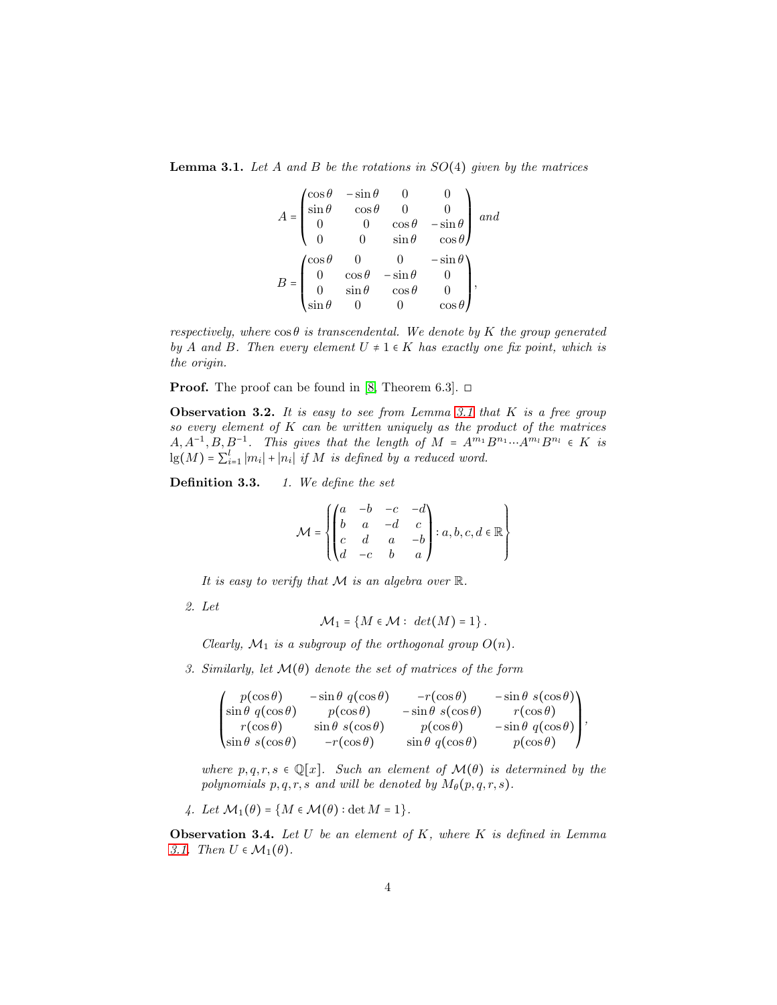<span id="page-3-0"></span>**Lemma 3.1.** Let A and B be the rotations in  $SO(4)$  given by the matrices

$$
A = \begin{pmatrix} \cos \theta & -\sin \theta & 0 & 0 \\ \sin \theta & \cos \theta & 0 & 0 \\ 0 & 0 & \cos \theta & -\sin \theta \\ 0 & 0 & \sin \theta & \cos \theta \end{pmatrix} and
$$

$$
B = \begin{pmatrix} \cos \theta & 0 & 0 & -\sin \theta \\ 0 & \cos \theta & -\sin \theta & 0 \\ 0 & \sin \theta & \cos \theta & 0 \\ \sin \theta & 0 & 0 & \cos \theta \end{pmatrix},
$$

respectively, where  $\cos\theta$  is transcendental. We denote by K the group generated by A and B. Then every element  $U \neq 1 \in K$  has exactly one fix point, which is the origin.

**Proof.** The proof can be found in [\[8,](#page-26-3) Theorem 6.3].  $\Box$ 

**Observation 3.2.** It is easy to see from Lemma [3.1](#page-3-0) that  $K$  is a free group so every element of  $K$  can be written uniquely as the product of the matrices  $A, A^{-1}, B, B^{-1}$ . This gives that the length of  $M = A^{m_1}B^{n_1} \cdots A^{m_l}B^{n_l} \in K$  is  $\lg(M) = \sum_{i=1}^{l} |m_i| + |n_i|$  if M is defined by a reduced word.

Definition 3.3. 1. We define the set

$$
\mathcal{M}=\left\{\begin{pmatrix}a&-b&-c&-d\\b&a&-d&c\\c&d&a&-b\\d&-c&b&a\end{pmatrix}: a,b,c,d\in\mathbb{R}\right\}
$$

It is easy to verify that  $M$  is an algebra over  $\mathbb{R}$ .

2. Let

$$
\mathcal{M}_1 = \{ M \in \mathcal{M} : det(M) = 1 \}.
$$

Clearly,  $\mathcal{M}_1$  is a subgroup of the orthogonal group  $O(n)$ .

3. Similarly, let  $\mathcal{M}(\theta)$  denote the set of matrices of the form

$$
\begin{pmatrix}\np(\cos\theta) & -\sin\theta & q(\cos\theta) & -r(\cos\theta) & -\sin\theta & s(\cos\theta) \\
\sin\theta & q(\cos\theta) & p(\cos\theta) & -\sin\theta & s(\cos\theta) & r(\cos\theta) \\
r(\cos\theta) & \sin\theta & s(\cos\theta) & p(\cos\theta) & -\sin\theta & q(\cos\theta) \\
\sin\theta & s(\cos\theta) & -r(\cos\theta) & \sin\theta & q(\cos\theta) & p(\cos\theta)\n\end{pmatrix},
$$

where  $p, q, r, s \in \mathbb{Q}[x]$ . Such an element of  $\mathcal{M}(\theta)$  is determined by the polynomials  $p, q, r, s$  and will be denoted by  $M_{\theta}(p,q,r,s)$ .

4. Let 
$$
\mathcal{M}_1(\theta) = \{ M \in \mathcal{M}(\theta) : \det M = 1 \}.
$$

**Observation 3.4.** Let  $U$  be an element of  $K$ , where  $K$  is defined in Lemma [3.1.](#page-3-0) Then  $U \in \mathcal{M}_1(\theta)$ .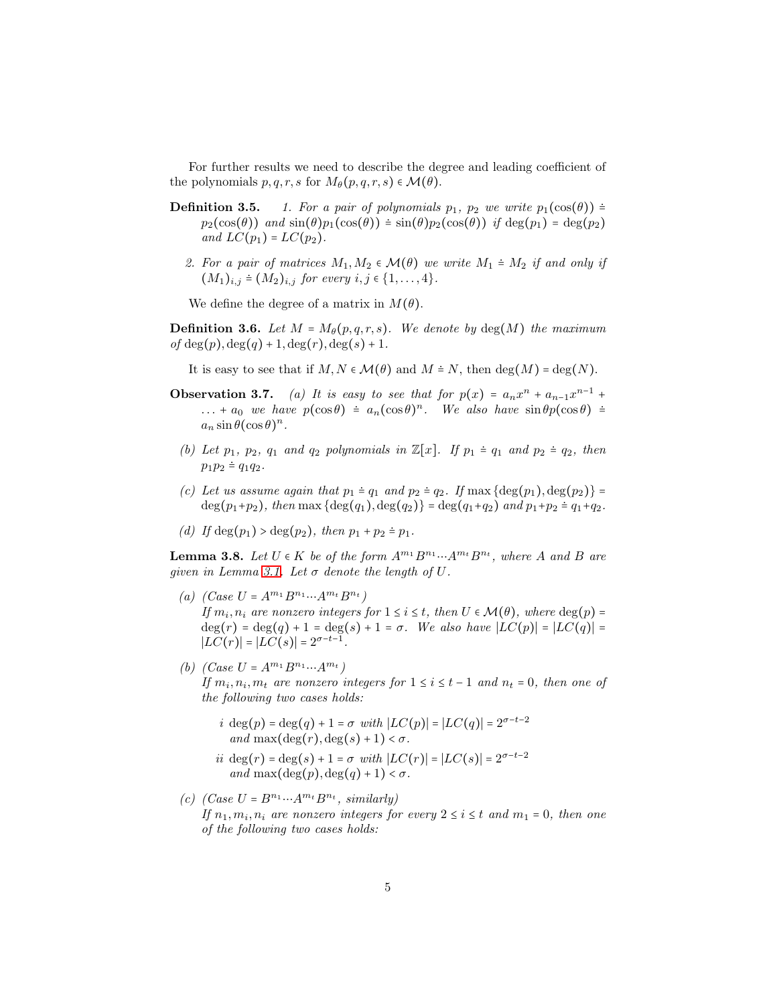For further results we need to describe the degree and leading coefficient of the polynomials  $p, q, r, s$  for  $M_{\theta}(p, q, r, s) \in \mathcal{M}(\theta)$ .

- **Definition 3.5.** 1. For a pair of polynomials  $p_1$ ,  $p_2$  we write  $p_1(\cos(\theta))$  =  $p_2(\cos(\theta))$  and  $\sin(\theta)p_1(\cos(\theta)) \doteq \sin(\theta)p_2(\cos(\theta))$  if  $\deg(p_1) = \deg(p_2)$ and  $LC(p_1) = LC(p_2)$ .
	- 2. For a pair of matrices  $M_1, M_2 \in \mathcal{M}(\theta)$  we write  $M_1 \doteq M_2$  if and only if  $(M_1)_{i,j} \doteq (M_2)_{i,j}$  for every  $i, j \in \{1, ..., 4\}.$

We define the degree of a matrix in  $M(\theta)$ .

<span id="page-4-4"></span>**Definition 3.6.** Let  $M = M_{\theta}(p,q,r,s)$ . We denote by deg(M) the maximum of  $deg(p), deg(q) + 1, deg(r), deg(s) + 1.$ 

It is easy to see that if  $M, N \in \mathcal{M}(\theta)$  and  $M \doteq N$ , then  $\deg(M) = \deg(N)$ .

- **Observation 3.7.** (a) It is easy to see that for  $p(x) = a_n x^n + a_{n-1} x^{n-1} +$ ... +  $a_0$  we have  $p(\cos \theta) \doteq a_n(\cos \theta)^n$ . We also have  $\sin \theta p(\cos \theta) \doteq$  $a_n \sin \theta (\cos \theta)^n$ .
- (b) Let  $p_1$ ,  $p_2$ ,  $q_1$  and  $q_2$  polynomials in  $\mathbb{Z}[x]$ . If  $p_1 \doteq q_1$  and  $p_2 \doteq q_2$ , then  $p_1p_2 \doteq q_1q_2$ .
- (c) Let us assume again that  $p_1 \doteq q_1$  and  $p_2 \doteq q_2$ . If  $\max{\{\deg(p_1), \deg(p_2)\}}$  $deg(p_1+p_2)$ , then max  $\{deg(q_1), deg(q_2)\} = deg(q_1+q_2)$  and  $p_1+p_2 = q_1+q_2$ .
- <span id="page-4-5"></span>(d) If  $deg(p_1) > deg(p_2)$ , then  $p_1 + p_2 \doteq p_1$ .

<span id="page-4-0"></span>**Lemma 3.8.** Let  $U \in K$  be of the form  $A^{m_1}B^{n_1} \cdots A^{m_t}B^{n_t}$ , where A and B are given in Lemma [3.1.](#page-3-0) Let  $\sigma$  denote the length of U.

- <span id="page-4-2"></span>(a)  $(Case U = A^{m_1} B^{n_1} ... A^{m_t} B^{n_t})$ If  $m_i, n_i$  are nonzero integers for  $1 \le i \le t$ , then  $U \in \mathcal{M}(\theta)$ , where  $\deg(p)$  =  $deg(r) = deg(q) + 1 = deg(s) + 1 = σ.$  We also have  $|LC(p)| = |LC(q)| =$  $|LC(r)| = |LC(s)| = 2^{\sigma - t - 1}.$
- <span id="page-4-1"></span>(b)  $(Case U = A^{m_1} B^{n_1} ... A^{m_t})$ If  $m_i, n_i, m_t$  are nonzero integers for  $1 \le i \le t-1$  and  $n_t = 0$ , then one of the following two cases holds:
	- i deg(p) = deg(q) + 1 =  $\sigma$  with  $|LC(p)| = |LC(q)| = 2^{\sigma t 2}$ and max $(\deg(r), \deg(s) + 1) < \sigma$ .
	- ii deg(r) = deg(s) + 1 =  $\sigma$  with  $|LC(r)| = |LC(s)| = 2^{\sigma t 2}$ and  $\max(\deg(p), \deg(q) + 1) < \sigma$ .
- <span id="page-4-3"></span>(c)  $(Case U = B<sup>n<sub>1</sub></sup>...A<sup>m<sub>t</sub></sup> B<sup>n<sub>t</sub></sup>$ , similarly) If  $n_1, m_i, n_i$  are nonzero integers for every  $2 \leq i \leq t$  and  $m_1 = 0$ , then one of the following two cases holds: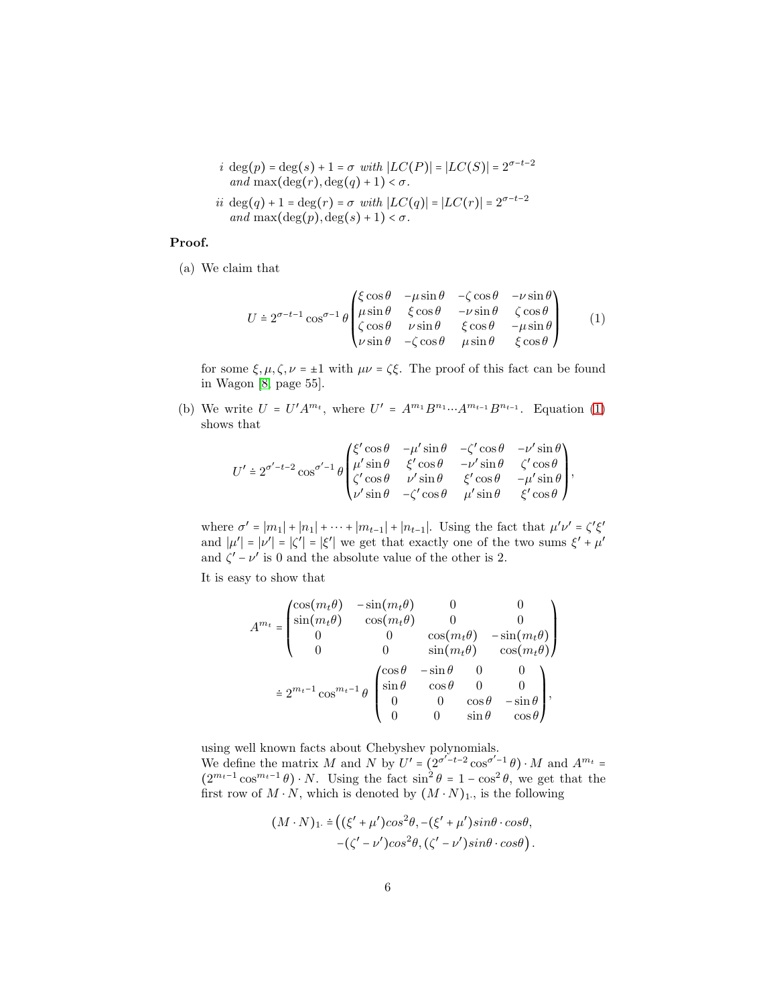i deg(p) = deg(s) + 1 =  $\sigma$  with  $|LC(P)| = |LC(S)| = 2^{\sigma - t - 2}$ and max $(\deg(r), \deg(q) + 1) < \sigma$ .

$$
\begin{aligned} ii\ \deg(q)+1&=\deg(r)=\sigma\ with\ |LC(q)|=|LC(r)|=2^{\sigma-t-2}\\ and\ \max(\deg(p),\deg(s)+1)&<\sigma. \end{aligned}
$$

#### Proof.

(a) We claim that

<span id="page-5-0"></span>
$$
U \doteq 2^{\sigma - t - 1} \cos^{\sigma - 1} \theta \begin{pmatrix} \xi \cos \theta & -\mu \sin \theta & -\zeta \cos \theta & -\nu \sin \theta \\ \mu \sin \theta & \xi \cos \theta & -\nu \sin \theta & \zeta \cos \theta \\ \zeta \cos \theta & \nu \sin \theta & \xi \cos \theta & -\mu \sin \theta \\ \nu \sin \theta & -\zeta \cos \theta & \mu \sin \theta & \xi \cos \theta \end{pmatrix} (1)
$$

for some  $\xi, \mu, \zeta, \nu = \pm 1$  with  $\mu\nu = \zeta \xi$ . The proof of this fact can be found in Wagon [\[8,](#page-26-3) page 55].

(b) We write  $U = U'A^{m_t}$ , where  $U' = A^{m_1}B^{n_1} \cdots A^{m_{t-1}}B^{n_{t-1}}$ . Equation [\(1\)](#page-5-0) shows that

$$
U' \doteq 2^{\sigma' - t - 2} \cos^{\sigma' - 1} \theta \begin{pmatrix} \xi' \cos \theta & - \mu' \sin \theta & -\zeta' \cos \theta & - \nu' \sin \theta \\ \mu' \sin \theta & \xi' \cos \theta & - \nu' \sin \theta & \zeta' \cos \theta \\ \zeta' \cos \theta & \nu' \sin \theta & \xi' \cos \theta & - \mu' \sin \theta \\ \nu' \sin \theta & -\zeta' \cos \theta & \mu' \sin \theta & \xi' \cos \theta \end{pmatrix},
$$

where  $\sigma' = |m_1| + |n_1| + \cdots + |m_{t-1}| + |n_{t-1}|$ . Using the fact that  $\mu' \nu' = \zeta' \xi'$ and  $|\mu'| = |\psi'| = |\xi'| = |\xi'|$  we get that exactly one of the two sums  $\xi' + \mu'$ and  $\zeta' - \nu'$  is 0 and the absolute value of the other is 2.

It is easy to show that

$$
A^{m_t} = \begin{pmatrix} \cos(m_t \theta) & -\sin(m_t \theta) & 0 & 0 \\ \sin(m_t \theta) & \cos(m_t \theta) & 0 & 0 \\ 0 & 0 & \cos(m_t \theta) & -\sin(m_t \theta) \\ 0 & 0 & \sin(m_t \theta) & \cos(m_t \theta) \end{pmatrix}
$$

$$
\approx 2^{m_t - 1} \cos^{m_t - 1} \theta \begin{pmatrix} \cos \theta & -\sin \theta & 0 & 0 \\ \sin \theta & \cos \theta & 0 & 0 \\ 0 & 0 & \cos \theta & -\sin \theta \\ 0 & 0 & \sin \theta & \cos \theta \end{pmatrix},
$$

using well known facts about Chebyshev polynomials. We define the matrix M and N by  $U' = (2^{\sigma'-t-2} \cos^{\sigma'-1} \theta) \cdot M$  and  $A^{m_t} =$  $(2^{m_t-1}\cos^{m_t-1}\theta)\cdot N$ . Using the fact  $\sin^2\theta = 1 - \cos^2\theta$ , we get that the first row of  $M \cdot N$ , which is denoted by  $(M \cdot N)_1$ ., is the following

$$
(M \cdot N)_1 = ((\xi' + \mu')\cos^2\theta, -(\xi' + \mu')\sin\theta \cdot \cos\theta, -(\zeta' - \nu')\cos^2\theta, (\zeta' - \nu')\sin\theta \cdot \cos\theta).
$$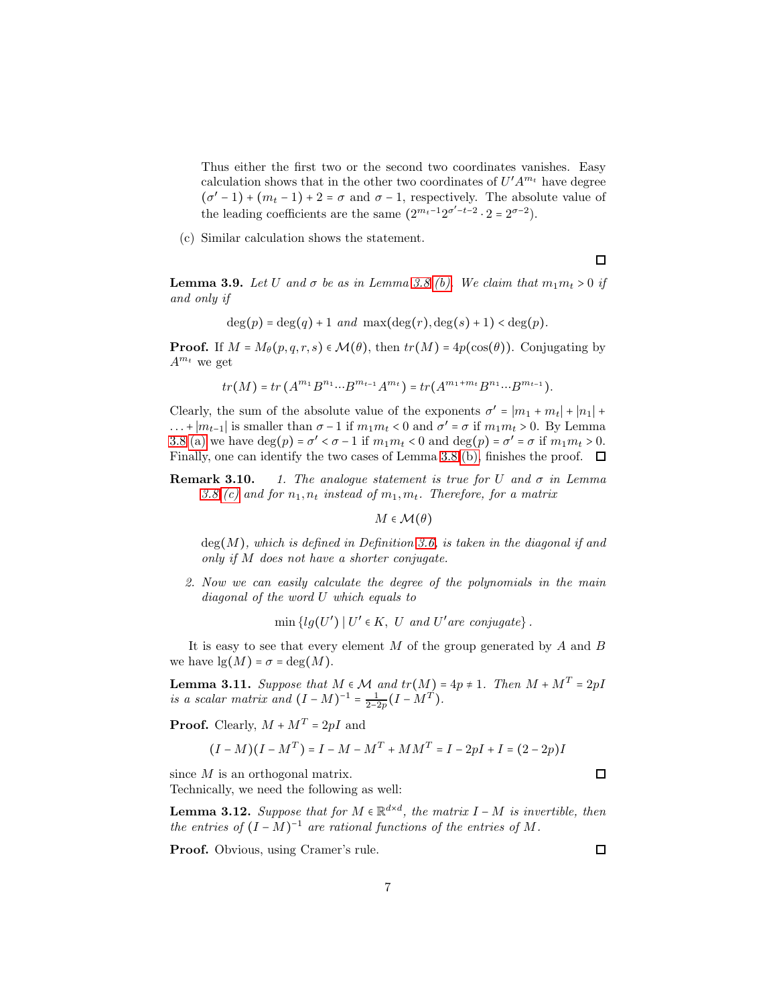Thus either the first two or the second two coordinates vanishes. Easy calculation shows that in the other two coordinates of  $U' A^{m_t}$  have degree  $(\sigma' - 1) + (m_t - 1) + 2 = \sigma$  and  $\sigma - 1$ , respectively. The absolute value of the leading coefficients are the same  $(2^{m_t-1}2^{\sigma'-t-2} \cdot 2 = 2^{\sigma-2})$ .

(c) Similar calculation shows the statement.

 $\Box$ 

<span id="page-6-2"></span>**Lemma 3.9.** Let U and  $\sigma$  be as in Lemma [3.8](#page-4-0) [\(b\).](#page-4-1) We claim that  $m_1m_t > 0$  if and only if

$$
\deg(p) = \deg(q) + 1 \ and \ \max(\deg(r), \deg(s) + 1) < \deg(p).
$$

**Proof.** If  $M = M_\theta(p, q, r, s) \in \mathcal{M}(\theta)$ , then  $tr(M) = 4p(\cos(\theta))$ . Conjugating by  $A^{m_t}$  we get

$$
tr(M) = tr(A^{m_1}B^{n_1} \cdots B^{m_{t-1}} A^{m_t}) = tr(A^{m_1 + m_t}B^{n_1} \cdots B^{m_{t-1}}).
$$

Clearly, the sum of the absolute value of the exponents  $\sigma' = |m_1 + m_t| + |n_1| +$ ... +  $|m_{t-1}|$  is smaller than  $\sigma - 1$  if  $m_1 m_t < 0$  and  $\sigma' = \sigma$  if  $m_1 m_t > 0$ . By Lemma [3.8](#page-4-0) [\(a\)](#page-4-2) we have  $\deg(p) = \sigma' < \sigma - 1$  if  $m_1 m_t < 0$  and  $\deg(p) = \sigma' = \sigma$  if  $m_1 m_t > 0$ . Finally, one can identify the two cases of Lemma [3.8](#page-4-0) [\(b\),](#page-4-1) finishes the proof.  $\Box$ 

**Remark 3.10.** 1. The analogue statement is true for U and  $\sigma$  in Lemma [3.8](#page-4-0) [\(c\)](#page-4-3) and for  $n_1, n_t$  instead of  $m_1, m_t$ . Therefore, for a matrix

 $M \in \mathcal{M}(\theta)$ 

 $deg(M)$ , which is defined in Definition [3.6,](#page-4-4) is taken in the diagonal if and only if M does not have a shorter conjugate.

2. Now we can easily calculate the degree of the polynomials in the main diagonal of the word U which equals to

 $\min \{lg(U') | U' \in K, U \text{ and } U'$  are conjugate $\}.$ 

It is easy to see that every element  $M$  of the group generated by  $A$  and  $B$ we have  $\lg(M) = \sigma = \deg(M)$ .

<span id="page-6-1"></span>**Lemma 3.11.** Suppose that  $M \in \mathcal{M}$  and  $tr(M) = 4p \neq 1$ . Then  $M + M^T = 2pI$ is a scalar matrix and  $(I - M)^{-1} = \frac{1}{2-2p}(I - M^T)$ .

**Proof.** Clearly,  $M + M^T = 2pI$  and

$$
(I - M)(I - MT) = I - M - MT + MMT = I - 2pI + I = (2 - 2p)I
$$

since M is an orthogonal matrix. Technically, we need the following as well:

<span id="page-6-0"></span>**Lemma 3.12.** Suppose that for  $M \in \mathbb{R}^{d \times d}$ , the matrix  $I - M$  is invertible, then the entries of  $(I - M)^{-1}$  are rational functions of the entries of M.

Proof. Obvious, using Cramer's rule.

 $\Box$ 

 $\Box$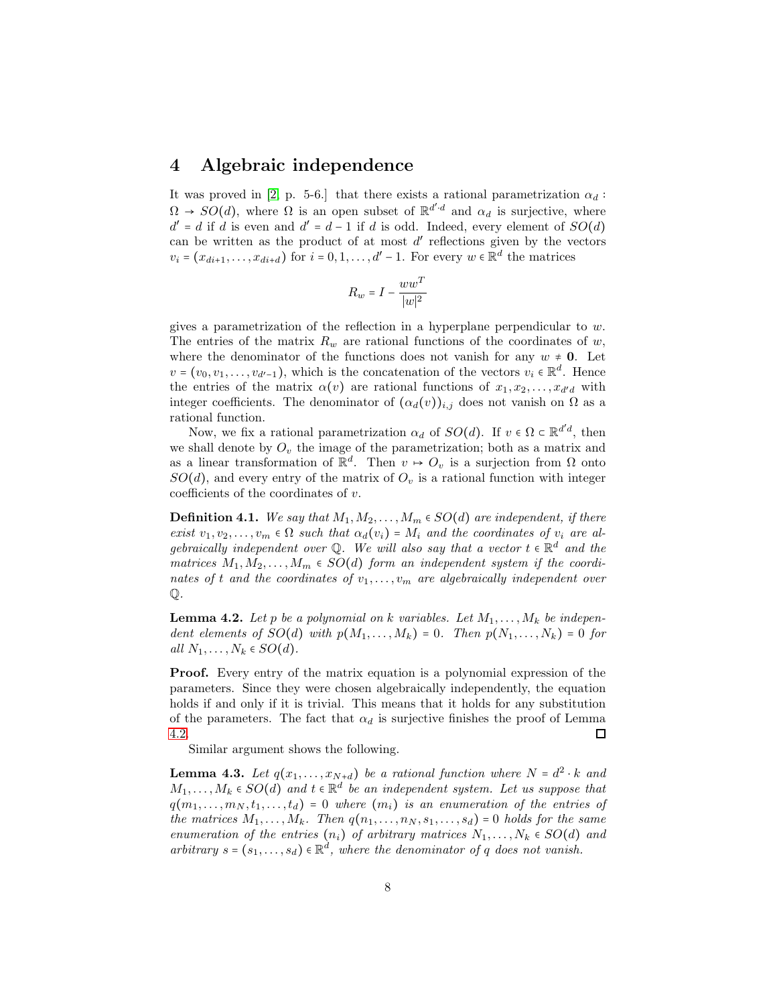### <span id="page-7-0"></span>4 Algebraic independence

It was proved in [\[2,](#page-26-2) p. 5-6.] that there exists a rational parametrization  $\alpha_d$ :  $\Omega \to SO(d)$ , where  $\Omega$  is an open subset of  $\mathbb{R}^{d'd}$  and  $\alpha_d$  is surjective, where  $d' = d$  if d is even and  $d' = d - 1$  if d is odd. Indeed, every element of  $SO(d)$ can be written as the product of at most  $d'$  reflections given by the vectors  $v_i = (x_{di+1}, \ldots, x_{di+d})$  for  $i = 0, 1, \ldots, d' - 1$ . For every  $w \in \mathbb{R}^d$  the matrices

$$
R_w=I-\frac{w w^T}{|w|^2}
$$

gives a parametrization of the reflection in a hyperplane perpendicular to w. The entries of the matrix  $R_w$  are rational functions of the coordinates of w, where the denominator of the functions does not vanish for any  $w \neq 0$ . Let  $v = (v_0, v_1, \dots, v_{d'-1})$ , which is the concatenation of the vectors  $v_i \in \mathbb{R}^d$ . Hence the entries of the matrix  $\alpha(v)$  are rational functions of  $x_1, x_2, \ldots, x_{d'd}$  with integer coefficients. The denominator of  $(\alpha_d(v))_{i,j}$  does not vanish on  $\Omega$  as a rational function.

Now, we fix a rational parametrization  $\alpha_d$  of  $SO(d)$ . If  $v \in \Omega \subset \mathbb{R}^{d'd}$ , then we shall denote by  $O<sub>v</sub>$  the image of the parametrization; both as a matrix and as a linear transformation of  $\mathbb{R}^d$ . Then  $v \mapsto O_v$  is a surjection from  $\Omega$  onto  $SO(d)$ , and every entry of the matrix of  $O<sub>v</sub>$  is a rational function with integer coefficients of the coordinates of  $v$ .

**Definition 4.1.** We say that  $M_1, M_2, \ldots, M_m \in SO(d)$  are independent, if there exist  $v_1, v_2, \ldots, v_m \in \Omega$  such that  $\alpha_d(v_i) = M_i$  and the coordinates of  $v_i$  are algebraically independent over Q. We will also say that a vector  $t \in \mathbb{R}^d$  and the matrices  $M_1, M_2, \ldots, M_m \in SO(d)$  form an independent system if the coordinates of t and the coordinates of  $v_1, \ldots, v_m$  are algebraically independent over Q.

<span id="page-7-1"></span>**Lemma 4.2.** Let p be a polynomial on k variables. Let  $M_1, \ldots, M_k$  be independent elements of  $SO(d)$  with  $p(M_1, \ldots, M_k) = 0$ . Then  $p(N_1, \ldots, N_k) = 0$  for all  $N_1, \ldots, N_k \in SO(d)$ .

Proof. Every entry of the matrix equation is a polynomial expression of the parameters. Since they were chosen algebraically independently, the equation holds if and only if it is trivial. This means that it holds for any substitution of the parameters. The fact that  $\alpha_d$  is surjective finishes the proof of Lemma [4.2.](#page-7-1) □

Similar argument shows the following.

<span id="page-7-2"></span>**Lemma 4.3.** Let  $q(x_1, \ldots, x_{N+d})$  be a rational function where  $N = d^2 \cdot k$  and  $M_1, \ldots, M_k \in SO(d)$  and  $t \in \mathbb{R}^d$  be an independent system. Let us suppose that  $q(m_1, \ldots, m_N, t_1, \ldots, t_d) = 0$  where  $(m_i)$  is an enumeration of the entries of the matrices  $M_1, \ldots, M_k$ . Then  $q(n_1, \ldots, n_N, s_1, \ldots, s_d) = 0$  holds for the same enumeration of the entries  $(n_i)$  of arbitrary matrices  $N_1, \ldots, N_k \in SO(d)$  and arbitrary  $s = (s_1, \ldots, s_d) \in \mathbb{R}^d$ , where the denominator of q does not vanish.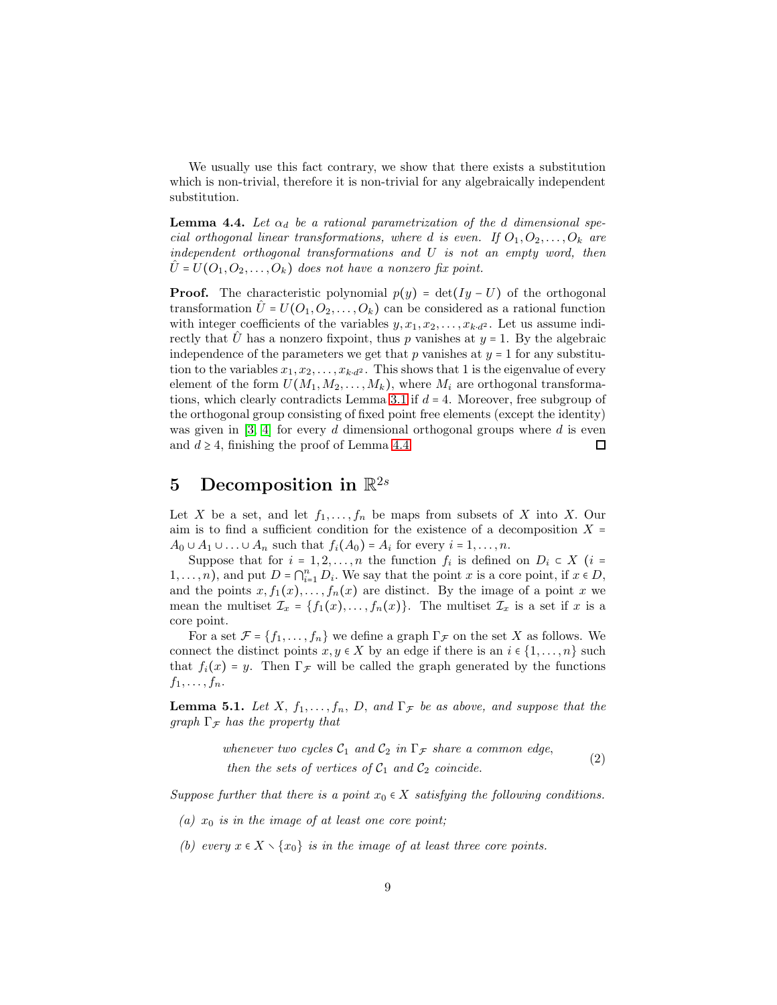We usually use this fact contrary, we show that there exists a substitution which is non-trivial, therefore it is non-trivial for any algebraically independent substitution.

<span id="page-8-1"></span>**Lemma 4.4.** Let  $\alpha_d$  be a rational parametrization of the d dimensional special orthogonal linear transformations, where d is even. If  $O_1, O_2, \ldots, O_k$  are independent orthogonal transformations and U is not an empty word, then  $U = U(O_1, O_2, \ldots, O_k)$  does not have a nonzero fix point.

**Proof.** The characteristic polynomial  $p(y) = det(Iy - U)$  of the orthogonal transformation  $\hat{U} = U(O_1, O_2, \ldots, O_k)$  can be considered as a rational function with integer coefficients of the variables  $y, x_1, x_2, \ldots, x_{k \cdot d^2}$ . Let us assume indirectly that U has a nonzero fixpoint, thus p vanishes at  $y = 1$ . By the algebraic independence of the parameters we get that p vanishes at  $y = 1$  for any substitution to the variables  $x_1, x_2, \ldots, x_{k \cdot d^2}$ . This shows that 1 is the eigenvalue of every element of the form  $U(M_1,M_2,\ldots,M_k)$ , where  $M_i$  are orthogonal transforma-tions, which clearly contradicts Lemma [3.1](#page-3-0) if  $d = 4$ . Moreover, free subgroup of the orthogonal group consisting of fixed point free elements (except the identity) was given in  $[3, 4]$  $[3, 4]$  for every d dimensional orthogonal groups where d is even and  $d \geq 4$ , finishing the proof of Lemma [4.4.](#page-8-1)  $\Box$ 

### <span id="page-8-0"></span>5 Decomposition in  $\mathbb{R}^{2s}$

Let X be a set, and let  $f_1, \ldots, f_n$  be maps from subsets of X into X. Our aim is to find a sufficient condition for the existence of a decomposition  $X =$  $A_0 \cup A_1 \cup \ldots \cup A_n$  such that  $f_i(A_0) = A_i$  for every  $i = 1, \ldots, n$ .

Suppose that for  $i = 1, 2, ..., n$  the function  $f_i$  is defined on  $D_i \subset X$  ( $i =$ 1,...,n), and put  $D = \bigcap_{i=1}^n D_i$ . We say that the point x is a core point, if  $x \in D$ , and the points  $x, f_1(x), \ldots, f_n(x)$  are distinct. By the image of a point x we mean the multiset  $\mathcal{I}_x = \{f_1(x), \ldots, f_n(x)\}\.$  The multiset  $\mathcal{I}_x$  is a set if x is a core point.

For a set  $\mathcal{F} = \{f_1, \ldots, f_n\}$  we define a graph  $\Gamma_{\mathcal{F}}$  on the set X as follows. We connect the distinct points  $x, y \in X$  by an edge if there is an  $i \in \{1, \ldots, n\}$  such that  $f_i(x) = y$ . Then  $\Gamma_{\mathcal{F}}$  will be called the graph generated by the functions  $f_1, \ldots, f_n$ .

<span id="page-8-3"></span>**Lemma 5.1.** Let X,  $f_1, \ldots, f_n$ , D, and  $\Gamma_{\mathcal{F}}$  be as above, and suppose that the graph  $\Gamma_{\mathcal{F}}$  has the property that

whenever two cycles 
$$
C_1
$$
 and  $C_2$  in  $\Gamma_{\mathcal{F}}$  share a common edge,  
then the sets of vertices of  $C_1$  and  $C_2$  coincide. (2)

<span id="page-8-5"></span><span id="page-8-2"></span>Suppose further that there is a point  $x_0 \in X$  satisfying the following conditions.

- <span id="page-8-4"></span>(a)  $x_0$  is in the image of at least one core point;
- (b) every  $x \in X \setminus \{x_0\}$  is in the image of at least three core points.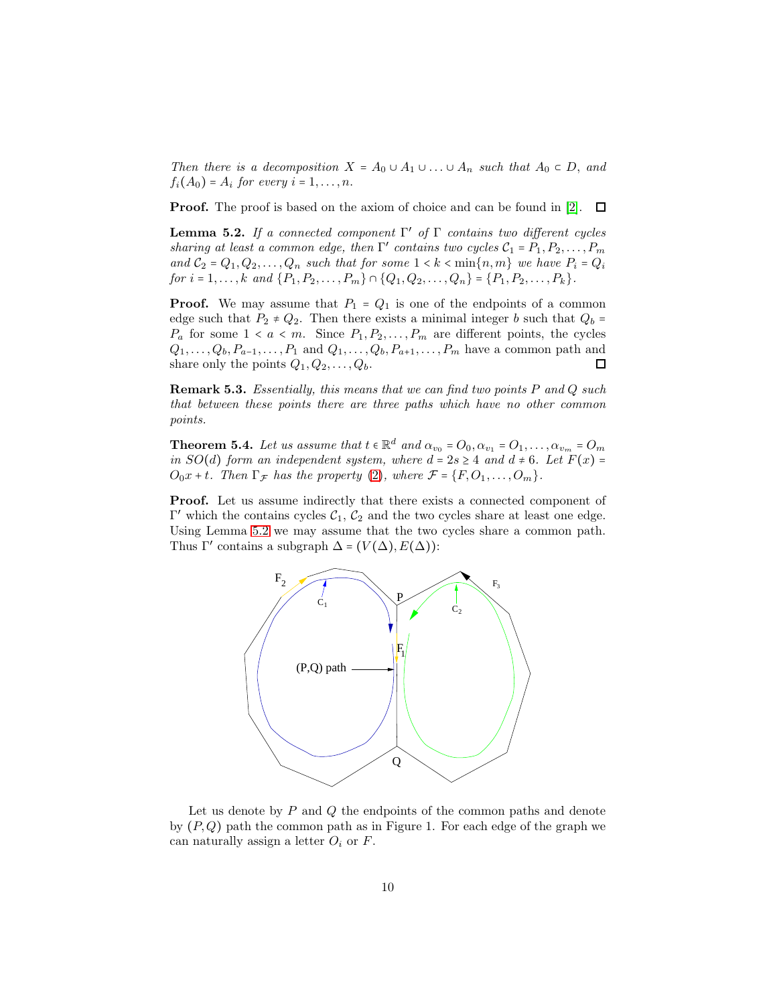Then there is a decomposition  $X = A_0 \cup A_1 \cup ... \cup A_n$  such that  $A_0 \subset D$ , and  $f_i(A_0) = A_i$  for every  $i = 1, \ldots, n$ .

**Proof.** The proof is based on the axiom of choice and can be found in [\[2\]](#page-26-2).  $\Box$ 

<span id="page-9-0"></span>**Lemma 5.2.** If a connected component  $\Gamma'$  of  $\Gamma$  contains two different cycles sharing at least a common edge, then  $\Gamma'$  contains two cycles  $C_1 = P_1, P_2, \ldots, P_m$ and  $C_2 = Q_1, Q_2, \ldots, Q_n$  such that for some  $1 < k < \min\{n, m\}$  we have  $P_i = Q_i$ for  $i = 1, ..., k$  and  $\{P_1, P_2, ..., P_m\} \cap \{Q_1, Q_2, ..., Q_n\} = \{P_1, P_2, ..., P_k\}.$ 

**Proof.** We may assume that  $P_1 = Q_1$  is one of the endpoints of a common edge such that  $P_2 \neq Q_2$ . Then there exists a minimal integer b such that  $Q_b$  =  $P_a$  for some  $1 < a < m$ . Since  $P_1, P_2, \ldots, P_m$  are different points, the cycles  $Q_1, \ldots, Q_b, P_{a-1}, \ldots, P_1$  and  $Q_1, \ldots, Q_b, P_{a+1}, \ldots, P_m$  have a common path and share only the points  $Q_1, Q_2, \ldots, Q_b$ . share only the points  $Q_1, Q_2, \ldots, Q_b$ .

Remark 5.3. Essentially, this means that we can find two points P and Q such that between these points there are three paths which have no other common points.

<span id="page-9-1"></span>**Theorem 5.4.** Let us assume that  $t \in \mathbb{R}^d$  and  $\alpha_{v_0} = O_0$ ,  $\alpha_{v_1} = O_1$ , ...,  $\alpha_{v_m} = O_m$ in  $SO(d)$  form an independent system, where  $d = 2s \geq 4$  and  $d \neq 6$ . Let  $F(x) =$  $O_0x + t$ . Then  $\Gamma_{\mathcal{F}}$  has the property [\(2\)](#page-8-2), where  $\mathcal{F} = \{F, O_1, \ldots, O_m\}$ .

Proof. Let us assume indirectly that there exists a connected component of  $Γ'$  which the contains cycles  $C_1$ ,  $C_2$  and the two cycles share at least one edge. Using Lemma [5.2](#page-9-0) we may assume that the two cycles share a common path. Thus  $\Gamma'$  contains a subgraph  $\Delta = (V(\Delta), E(\Delta))$ :



Let us denote by  $P$  and  $Q$  the endpoints of the common paths and denote by  $(P, Q)$  path the common path as in Figure 1. For each edge of the graph we can naturally assign a letter  $O_i$  or F.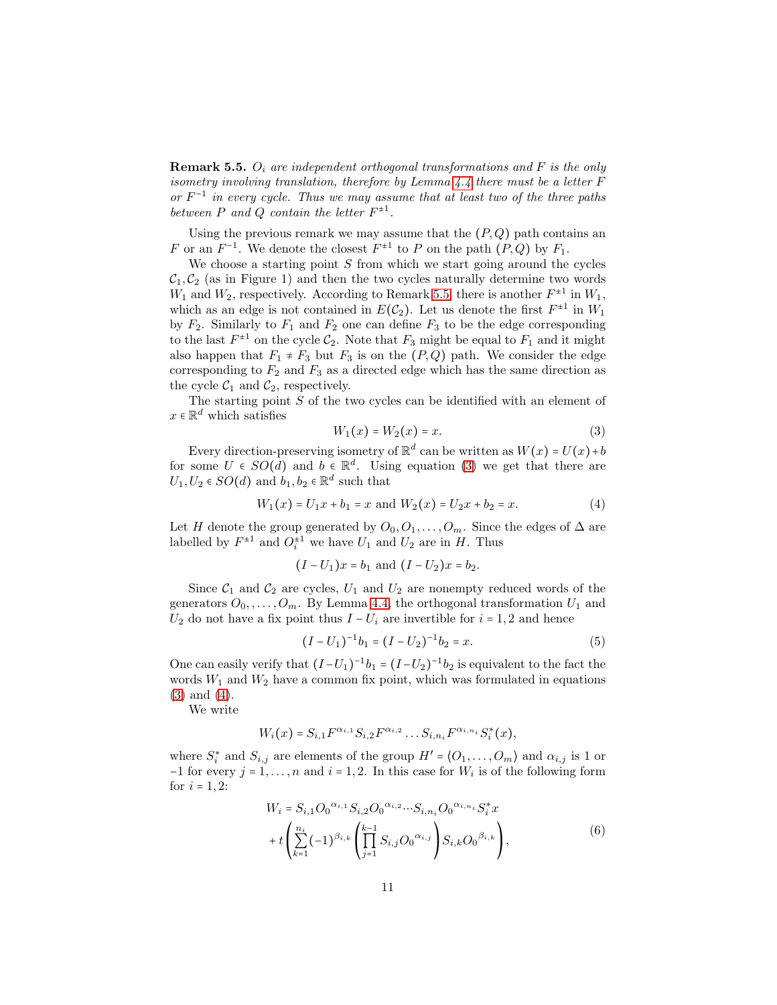<span id="page-10-0"></span>**Remark 5.5.**  $O_i$  are independent orthogonal transformations and F is the only isometry involving translation, therefore by Lemma [4.4](#page-8-1) there must be a letter F or  $F^{-1}$  in every cycle. Thus we may assume that at least two of the three paths between  $P$  and  $Q$  contain the letter  $F^{\pm 1}$ .

Using the previous remark we may assume that the  $(P,Q)$  path contains an F or an  $F^{-1}$ . We denote the closest  $F^{\pm 1}$  to P on the path  $(P,Q)$  by  $F_1$ .

We choose a starting point  $S$  from which we start going around the cycles  $C_1, C_2$  (as in Figure 1) and then the two cycles naturally determine two words  $W_1$  and  $W_2$ , respectively. According to Remark [5.5,](#page-10-0) there is another  $F^{\pm 1}$  in  $W_1$ , which as an edge is not contained in  $E(\mathcal{C}_2)$ . Let us denote the first  $F^{\pm 1}$  in  $W_1$ by  $F_2$ . Similarly to  $F_1$  and  $F_2$  one can define  $F_3$  to be the edge corresponding to the last  $F^{\pm 1}$  on the cycle  $\mathcal{C}_2$ . Note that  $F_3$  might be equal to  $F_1$  and it might also happen that  $F_1 \neq F_3$  but  $F_3$  is on the  $(P,Q)$  path. We consider the edge corresponding to  $F_2$  and  $F_3$  as a directed edge which has the same direction as the cycle  $C_1$  and  $C_2$ , respectively.

The starting point S of the two cycles can be identified with an element of  $x \in \mathbb{R}^d$  which satisfies

<span id="page-10-1"></span>
$$
W_1(x) = W_2(x) = x.
$$
 (3)

Every direction-preserving isometry of  $\mathbb{R}^d$  can be written as  $W(x) = U(x) + b$ for some  $U \in SO(d)$  and  $b \in \mathbb{R}^d$ . Using equation [\(3\)](#page-10-1) we get that there are  $U_1, U_2 \in SO(d)$  and  $b_1, b_2 \in \mathbb{R}^d$  such that

<span id="page-10-2"></span>
$$
W_1(x) = U_1 x + b_1 = x \text{ and } W_2(x) = U_2 x + b_2 = x. \tag{4}
$$

Let H denote the group generated by  $O_0, O_1, \ldots, O_m$ . Since the edges of  $\Delta$  are labelled by  $F^{\pm 1}$  and  $O_i^{\pm 1}$  we have  $U_1$  and  $U_2$  are in  $H$ . Thus

$$
(I - U_1)x = b_1
$$
 and  $(I - U_2)x = b_2$ .

Since  $C_1$  and  $C_2$  are cycles,  $U_1$  and  $U_2$  are nonempty reduced words of the generators  $O_0, \ldots, O_m$ . By Lemma [4.4,](#page-8-1) the orthogonal transformation  $U_1$  and  $U_2$  do not have a fix point thus  $I - U_i$  are invertible for  $i = 1, 2$  and hence

<span id="page-10-4"></span>
$$
(I - U_1)^{-1}b_1 = (I - U_2)^{-1}b_2 = x.
$$
 (5)

One can easily verify that  $(I-U_1)^{-1}b_1 = (I-U_2)^{-1}b_2$  is equivalent to the fact the words  $W_1$  and  $W_2$  have a common fix point, which was formulated in equations [\(3\)](#page-10-1) and [\(4\)](#page-10-2).

We write

$$
W_i(x) = S_{i,1} F^{\alpha_{i,1}} S_{i,2} F^{\alpha_{i,2}} \dots S_{i,n_i} F^{\alpha_{i,n_i}} S_i^*(x),
$$

<span id="page-10-3"></span>where  $S_i^*$  and  $S_{i,j}$  are elements of the group  $H' = \langle O_1, \ldots, O_m \rangle$  and  $\alpha_{i,j}$  is 1 or  $-1$  for every  $j = 1, \ldots, n$  and  $i = 1, 2$ . In this case for  $W_i$  is of the following form for  $i = 1, 2$ :

$$
W_{i} = S_{i,1} O_0^{\alpha_{i,1}} S_{i,2} O_0^{\alpha_{i,2}} \cdots S_{i,n_i} O_0^{\alpha_{i,n_i}} S_i^* x
$$
  
+ 
$$
t \left( \sum_{k=1}^{n_i} (-1)^{\beta_{i,k}} \left( \prod_{j=1}^{k-1} S_{i,j} O_0^{\alpha_{i,j}} \right) S_{i,k} O_0^{\beta_{i,k}} \right),
$$
 (6)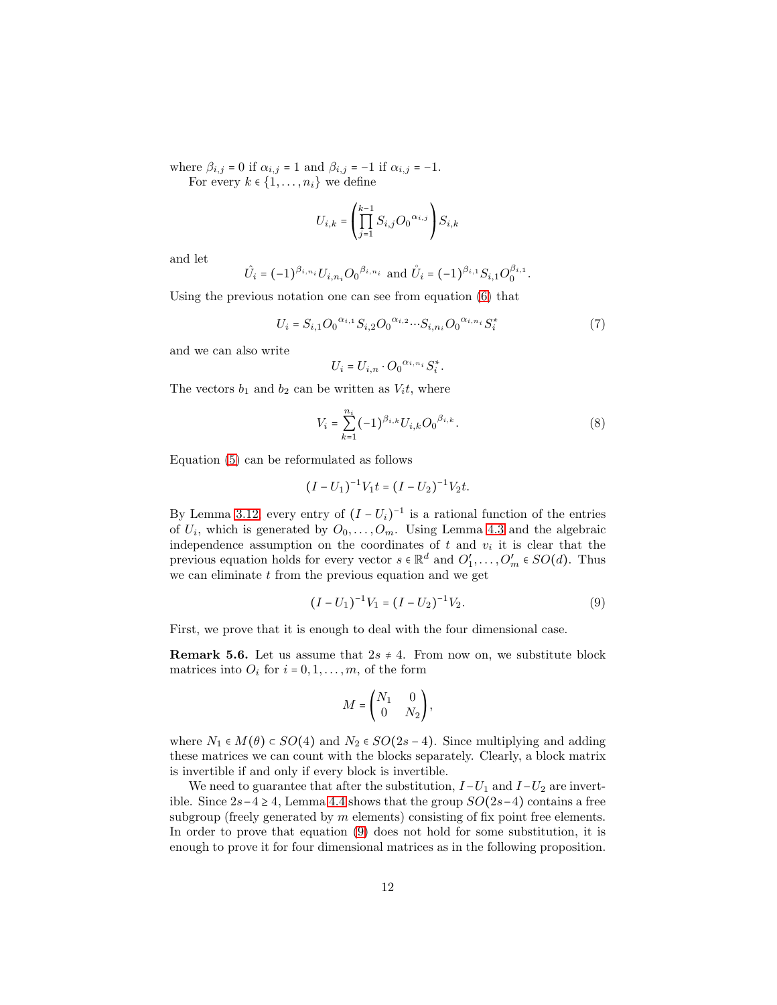where  $\beta_{i,j} = 0$  if  $\alpha_{i,j} = 1$  and  $\beta_{i,j} = -1$  if  $\alpha_{i,j} = -1$ . For every  $k \in \{1, \ldots, n_i\}$  we define

$$
U_{i,k} = \left(\prod_{j=1}^{k-1} S_{i,j} O_0^{-\alpha_{i,j}}\right) S_{i,k}
$$

and let

$$
\hat{U}_i = (-1)^{\beta_{i,n_i}} U_{i,n_i} O_0^{\beta_{i,n_i}}
$$
 and  $\hat{U}_i = (-1)^{\beta_{i,1}} S_{i,1} O_0^{\beta_{i,1}}$ .

Using the previous notation one can see from equation [\(6\)](#page-10-3) that

$$
U_i = S_{i,1} O_0^{\alpha_{i,1}} S_{i,2} O_0^{\alpha_{i,2}} \cdots S_{i,n_i} O_0^{\alpha_{i,n_i}} S_i^*
$$
(7)

and we can also write

$$
U_i = U_{i,n} \cdot O_0^{\alpha_{i,n_i}} S_i^*.
$$

The vectors  $b_1$  and  $b_2$  can be written as  $V_i t$ , where

<span id="page-11-1"></span>
$$
V_i = \sum_{k=1}^{n_i} (-1)^{\beta_{i,k}} U_{i,k} O_0^{\beta_{i,k}}.
$$
 (8)

Equation [\(5\)](#page-10-4) can be reformulated as follows

$$
(I-U_1)^{-1}V_1t=(I-U_2)^{-1}V_2t.
$$

By Lemma [3.12,](#page-6-0) every entry of  $(I - U_i)^{-1}$  is a rational function of the entries of  $U_i$ , which is generated by  $O_0, \ldots, O_m$ . Using Lemma [4.3](#page-7-2) and the algebraic independence assumption on the coordinates of  $t$  and  $v_i$  it is clear that the previous equation holds for every vector  $s \in \mathbb{R}^d$  and  $O'_1, \ldots, O'_m \in SO(d)$ . Thus we can eliminate  $t$  from the previous equation and we get

<span id="page-11-0"></span>
$$
(I - U_1)^{-1}V_1 = (I - U_2)^{-1}V_2.
$$
\n(9)

First, we prove that it is enough to deal with the four dimensional case.

**Remark 5.6.** Let us assume that  $2s \neq 4$ . From now on, we substitute block matrices into  $O_i$  for  $i = 0, 1, \ldots, m$ , of the form

$$
M = \begin{pmatrix} N_1 & 0 \\ 0 & N_2 \end{pmatrix},
$$

where  $N_1 \in M(\theta) \subset SO(4)$  and  $N_2 \in SO(2s-4)$ . Since multiplying and adding these matrices we can count with the blocks separately. Clearly, a block matrix is invertible if and only if every block is invertible.

We need to guarantee that after the substitution,  $I-U_1$  and  $I-U_2$  are invertible. Since  $2s-4 \geq 4$ , Lemma [4.4](#page-8-1) shows that the group  $SO(2s-4)$  contains a free subgroup (freely generated by  $m$  elements) consisting of fix point free elements. In order to prove that equation [\(9\)](#page-11-0) does not hold for some substitution, it is enough to prove it for four dimensional matrices as in the following proposition.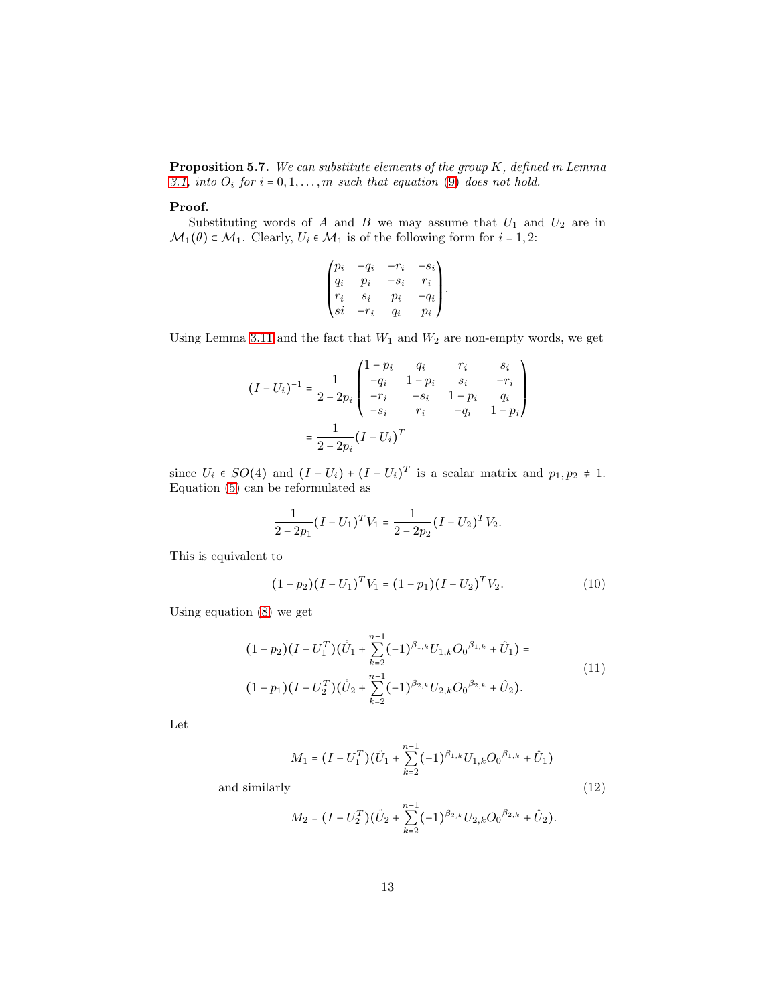<span id="page-12-2"></span>**Proposition 5.7.** We can substitute elements of the group  $K$ , defined in Lemma [3.1,](#page-3-0) into  $O_i$  for  $i = 0, 1, \ldots, m$  such that equation [\(9\)](#page-11-0) does not hold.

#### Proof.

Substituting words of A and B we may assume that  $U_1$  and  $U_2$  are in  $\mathcal{M}_1(\theta) \subset \mathcal{M}_1$ . Clearly,  $U_i \in \mathcal{M}_1$  is of the following form for  $i = 1, 2$ :

$$
\begin{pmatrix} p_i & -q_i & -r_i & -s_i \\ q_i & p_i & -s_i & r_i \\ r_i & s_i & p_i & -q_i \\ si & -r_i & q_i & p_i \end{pmatrix}.
$$

Using Lemma [3.11](#page-6-1) and the fact that  $W_1$  and  $W_2$  are non-empty words, we get

$$
(I - U_i)^{-1} = \frac{1}{2 - 2p_i} \begin{pmatrix} 1 - p_i & q_i & r_i & s_i \\ -q_i & 1 - p_i & s_i & -r_i \\ -r_i & -s_i & 1 - p_i & q_i \\ -s_i & r_i & -q_i & 1 - p_i \end{pmatrix}
$$

$$
= \frac{1}{2 - 2p_i} (I - U_i)^T
$$

since  $U_i \in SO(4)$  and  $(I - U_i) + (I - U_i)^T$  is a scalar matrix and  $p_1, p_2 \neq 1$ . Equation [\(5\)](#page-10-4) can be reformulated as

$$
\frac{1}{2-2p_1}(I-U_1)^TV_1 = \frac{1}{2-2p_2}(I-U_2)^TV_2.
$$

This is equivalent to

$$
(1 - p_2)(I - U_1)^T V_1 = (1 - p_1)(I - U_2)^T V_2.
$$
 (10)

Using equation [\(8\)](#page-11-1) we get

$$
(1 - p_2)(I - U_1^T)(\mathring{U}_1 + \sum_{k=2}^{n-1} (-1)^{\beta_{1,k}} U_{1,k} O_0^{\beta_{1,k}} + \mathring{U}_1) =
$$
  

$$
(1 - p_1)(I - U_2^T)(\mathring{U}_2 + \sum_{k=2}^{n-1} (-1)^{\beta_{2,k}} U_{2,k} O_0^{\beta_{2,k}} + \mathring{U}_2).
$$
 (11)

<span id="page-12-0"></span>Let

$$
M_1 = (I - U_1^T)(\mathring{U}_1 + \sum_{k=2}^{n-1} (-1)^{\beta_{1,k}} U_{1,k} O_0^{\beta_{1,k}} + \hat{U}_1)
$$
 and similarly (12)

<span id="page-12-1"></span>
$$
M_2 = \big(I-U_2^T\big) \big(\mathring{U}_2 + \sum_{k=2}^{n-1} (-1)^{\beta_{2,k}} U_{2,k} {O_0}^{\beta_{2,k}} + \hat{U}_2\big).
$$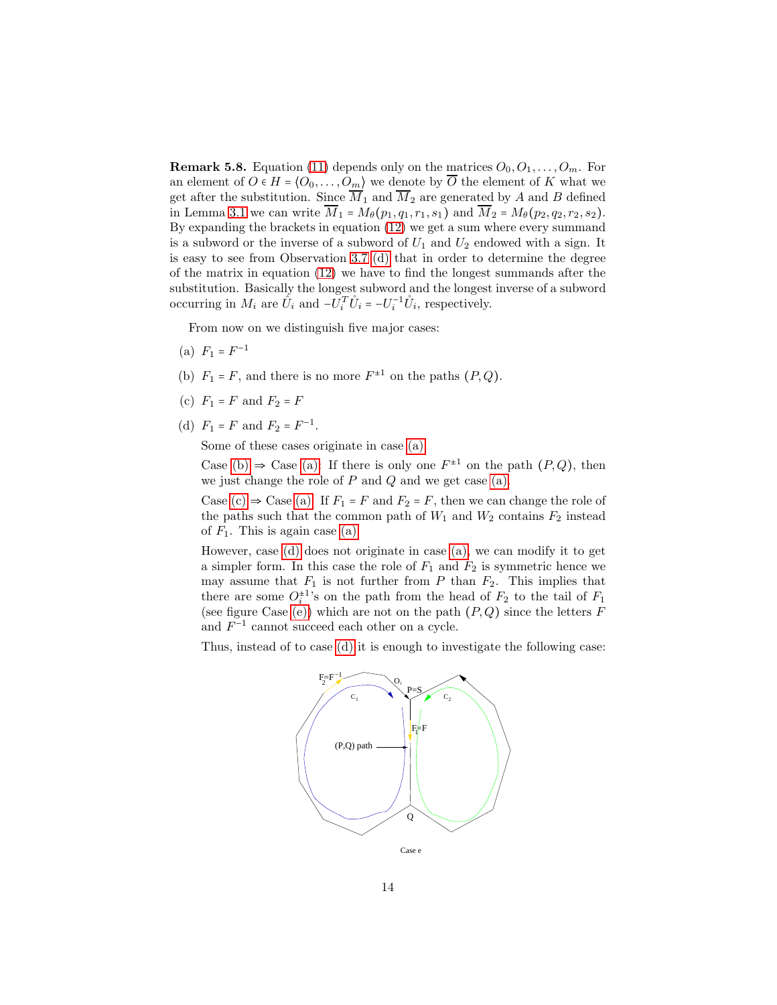**Remark 5.8.** Equation [\(11\)](#page-12-0) depends only on the matrices  $O_0, O_1, \ldots, O_m$ . For an element of  $O \in H = \langle O_0, \ldots, O_m \rangle$  we denote by  $\overline{O}$  the element of K what we get after the substitution. Since  $\overline{M}_1$  and  $\overline{M}_2$  are generated by A and B defined in Lemma [3.1](#page-3-0) we can write  $\overline{M}_1 = M_\theta(p_1, q_1, r_1, s_1)$  and  $\overline{M}_2 = M_\theta(p_2, q_2, r_2, s_2)$ . By expanding the brackets in equation [\(12\)](#page-12-1) we get a sum where every summand is a subword or the inverse of a subword of  $U_1$  and  $U_2$  endowed with a sign. It is easy to see from Observation 3.7 [\(d\)](#page-4-5) that in order to determine the degree of the matrix in equation [\(12\)](#page-12-1) we have to find the longest summands after the substitution. Basically the longest subword and the longest inverse of a subword occurring in  $M_i$  are  $\hat{U}_i$  and  $-\tilde{U}_i^T \hat{U}_i = -U_i^{-1} \hat{U}_i$ , respectively.

<span id="page-13-0"></span>From now on we distinguish five major cases:

- <span id="page-13-1"></span>(a)  $F_1 = F^{-1}$
- <span id="page-13-2"></span>(b)  $F_1 = F$ , and there is no more  $F^{\pm 1}$  on the paths  $(P, Q)$ .
- <span id="page-13-3"></span>(c)  $F_1 = F$  and  $F_2 = F$
- (d)  $F_1 = F$  and  $F_2 = F^{-1}$ .

Some of these cases originate in case [\(a\).](#page-13-0)

Case [\(b\)](#page-13-1)  $\Rightarrow$  Case [\(a\):](#page-13-0) If there is only one  $F^{\pm 1}$  on the path  $(P,Q)$ , then we just change the role of  $P$  and  $Q$  and we get case [\(a\).](#page-13-0)

Case [\(c\)](#page-13-2)  $\Rightarrow$  Case [\(a\):](#page-13-0) If  $F_1 = F$  and  $F_2 = F$ , then we can change the role of the paths such that the common path of  $W_1$  and  $W_2$  contains  $F_2$  instead of  $F_1$ . This is again case [\(a\).](#page-13-0)

However, case [\(d\)](#page-13-3) does not originate in case [\(a\),](#page-13-0) we can modify it to get a simpler form. In this case the role of  $F_1$  and  $F_2$  is symmetric hence we may assume that  $F_1$  is not further from P than  $F_2$ . This implies that there are some  $O_i^{\pm 1}$ 's on the path from the head of  $F_2$  to the tail of  $F_1$ (see figure Case [\(e\)\)](#page-14-0) which are not on the path  $(P,Q)$  since the letters F and  $F^{-1}$  cannot succeed each other on a cycle.

Thus, instead of to case [\(d\)](#page-13-3) it is enough to investigate the following case:

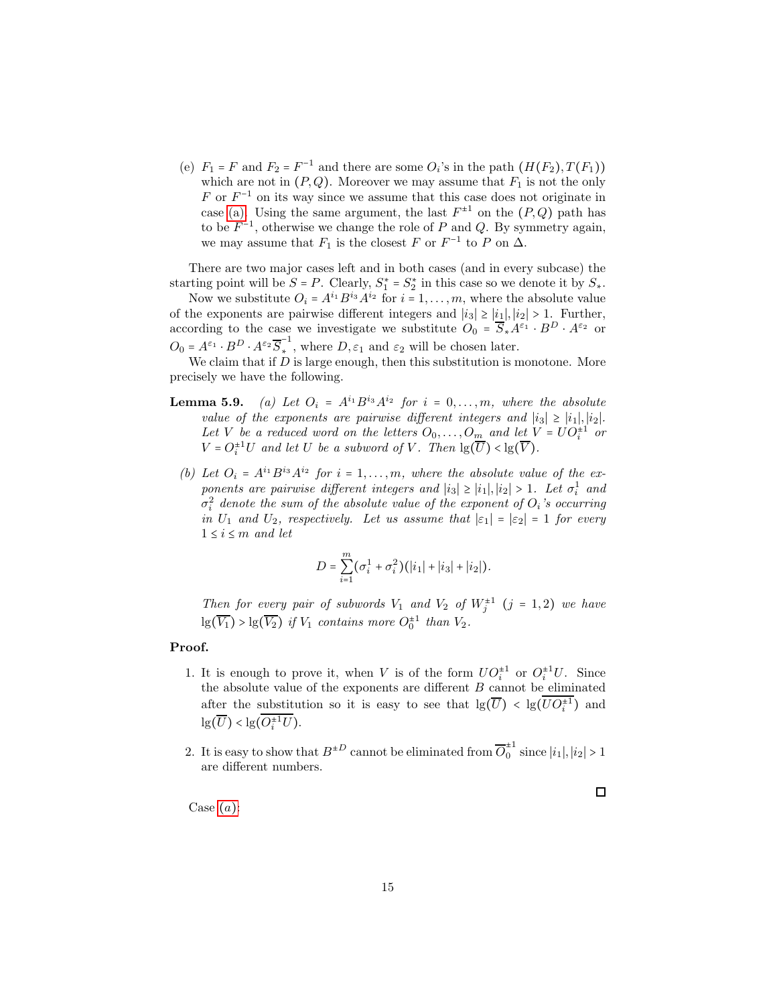<span id="page-14-0"></span>(e)  $F_1 = F$  and  $F_2 = F^{-1}$  and there are some  $O_i$ 's in the path  $(H(F_2), T(F_1))$ which are not in  $(P, Q)$ . Moreover we may assume that  $F_1$  is not the only  $F$  or  $F^{-1}$  on its way since we assume that this case does not originate in case [\(a\).](#page-13-0) Using the same argument, the last  $F^{\pm 1}$  on the  $(P,Q)$  path has to be  $F^{-1}$ , otherwise we change the role of P and Q. By symmetry again, we may assume that  $F_1$  is the closest F or  $F^{-1}$  to P on  $\Delta$ .

There are two major cases left and in both cases (and in every subcase) the starting point will be  $S = P$ . Clearly,  $S_1^* = S_2^*$  in this case so we denote it by  $S_*$ .

Now we substitute  $O_i = A^{i_1} B^{i_3} A^{i_2}$  for  $i = 1, ..., m$ , where the absolute value of the exponents are pairwise different integers and  $|i_3| \geq |i_1|, |i_2| > 1$ . Further, according to the case we investigate we substitute  $O_0 = \overline{S}_* A^{\varepsilon_1} \cdot B^D \cdot A^{\varepsilon_2}$  or  $O_0 = A^{\varepsilon_1} \cdot B^D \cdot A^{\varepsilon_2} \overline{S}_*^{-1}$ <sup>\*</sup>, where  $D, \varepsilon_1$  and  $\varepsilon_2$  will be chosen later.

We claim that if  $D$  is large enough, then this substitution is monotone. More precisely we have the following.

- <span id="page-14-2"></span><span id="page-14-1"></span>**Lemma 5.9.** (a) Let  $O_i = A^{i_1}B^{i_3}A^{i_2}$  for  $i = 0, \ldots, m$ , where the absolute value of the exponents are pairwise different integers and  $|i_3| \ge |i_1|, |i_2|$ . Let V be a reduced word on the letters  $O_0, \ldots, O_m$  and let  $V = U O_i^{\pm 1}$  or  $V = O_i^{\pm 1}U$  and let U be a subword of V. Then  $\lg(\overline{U}) < \lg(\overline{V})$ .
	- (b) Let  $O_i = A^{i_1} B^{i_3} A^{i_2}$  for  $i = 1, ..., m$ , where the absolute value of the exponents are pairwise different integers and  $|i_3| \ge |i_1|, |i_2| > 1$ . Let  $\sigma_i^1$  and  $\sigma_i^2$  denote the sum of the absolute value of the exponent of  $O_i$ 's occurring in  $U_1$  and  $U_2$ , respectively. Let us assume that  $|\varepsilon_1| = |\varepsilon_2| = 1$  for every  $1 \leq i \leq m$  and let

$$
D = \sum_{i=1}^{m} (\sigma_i^1 + \sigma_i^2) (|i_1| + |i_3| + |i_2|).
$$

Then for every pair of subwords  $V_1$  and  $V_2$  of  $W_j^{\pm 1}$   $(j = 1, 2)$  we have  $\lg(\overline{V_1}) > \lg(\overline{V_2})$  if  $V_1$  contains more  $O_0^{\pm 1}$  than  $V_2$ .

#### Proof.

- 1. It is enough to prove it, when V is of the form  $U O_i^{\pm 1}$  or  $O_i^{\pm 1} U$ . Since the absolute value of the exponents are different  $B$  cannot be eliminated after the substitution so it is easy to see that  $\lg(\overline{U}) < \lg(\overline{UO_i^+})$  and  $\lg(\overline{U}) < \lg(\overline{O_i^{\pm 1} U}).$
- 2. It is easy to show that  $B^{\pm D}$  cannot be eliminated from  $\overline{O}_0^{\pm 1}$  since  $|i_1|, |i_2| > 1$ are different numbers.

 $\Box$ 

C[a](#page-13-0)se  $(a)$ :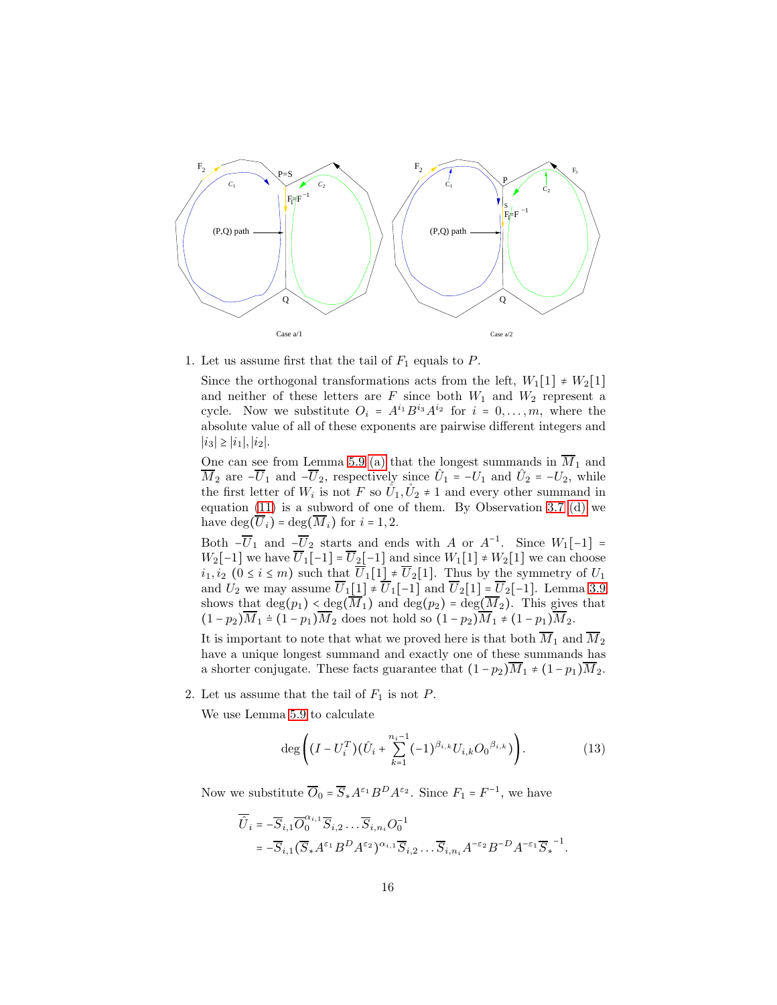

1. Let us assume first that the tail of  $F_1$  equals to P.

Since the orthogonal transformations acts from the left,  $W_1[1] \neq W_2[1]$ and neither of these letters are  $F$  since both  $W_1$  and  $W_2$  represent a cycle. Now we substitute  $O_i = A^{i_1} B^{i_3} A^{i_2}$  for  $i = 0, ..., m$ , where the absolute value of all of these exponents are pairwise different integers and  $|i_3|$  ≥  $|i_1|, |i_2|$ .

One can see from Lemma 5.9 [\(a\)](#page-14-1) that the longest summands in  $M_1$  and  $\overline{M}_2$  are  $-\overline{U}_1$  and  $-\overline{U}_2$ , respectively since  $\hat{U}_1 = -U_1$  and  $\hat{U}_2 = -U_2$ , while the first letter of  $W_i$  is not F so  $\mathring{U}_1, \mathring{U}_2 \neq 1$  and every other summand in equation [\(11\)](#page-12-0) is a subword of one of them. By Observation 3.7 [\(d\)](#page-4-5) we have  $\deg(\overline{U}_i) = \deg(\overline{M}_i)$  for  $i = 1, 2$ .

Both  $-\overline{U}_1$  and  $-\overline{U}_2$  starts and ends with A or  $A^{-1}$ . Since  $W_1[-1] =$  $W_2[-1]$  we have  $\overline{U}_1[-1] = \overline{U}_2[-1]$  and since  $W_1[1] \neq W_2[1]$  we can choose  $i_1, i_2$  ( $0 \le i \le m$ ) such that  $\overline{U}_1[1] \ne \overline{U}_2[1]$ . Thus by the symmetry of  $U_1$ and  $U_2$  we may assume  $\overline{U}_1[1] \neq \overline{U}_1[-1]$  and  $\overline{U}_2[1] = \overline{U}_2[-1]$ . Lemma [3.9](#page-6-2) shows that  $\deg(p_1) < \deg(\overline{M}_1)$  and  $\deg(p_2) = \deg(\overline{M}_2)$ . This gives that  $(1 - p_2)\overline{M}_1 \doteq (1 - p_1)\overline{M}_2$  does not hold so  $(1 - p_2)\overline{M}_1 \neq (1 - p_1)\overline{M}_2$ .

It is important to note that what we proved here is that both  $\overline{M}_1$  and  $\overline{M}_2$ have a unique longest summand and exactly one of these summands has a shorter conjugate. These facts guarantee that  $(1-p_2)\overline{M}_1 \neq (1-p_1)\overline{M}_2$ .

2. Let us assume that the tail of  $F_1$  is not P.

We use Lemma 5.9 to calculate

$$
\deg\left((I - U_i^T)(\hat{U}_i + \sum_{k=1}^{n_i - 1} (-1)^{\beta_{i,k}} U_{i,k} O_0^{\beta_{i,k}})\right).
$$
 (13)

Now we substitute  $\overline{O}_0 = \overline{S}_{*} A^{\varepsilon_1} B^D A^{\varepsilon_2}$ . Since  $F_1 = F^{-1}$ , we have

$$
\begin{aligned} \overline{\hat{U}}_i &= -\overline{S}_{i,1}\overline{O}_0^{\alpha_{i,1}}\overline{S}_{i,2}\cdots \overline{S}_{i,n_i}O_0^{-1} \\ &= -\overline{S}_{i,1}\big(\overline{S}_*A^{\varepsilon_1}B^DA^{\varepsilon_2}\big)^{\alpha_{i,1}}\overline{S}_{i,2}\cdots \overline{S}_{i,n_i}A^{-\varepsilon_2}B^{-D}A^{-\varepsilon_1}\overline{S}_*^{\phantom{-1}-1}. \end{aligned}
$$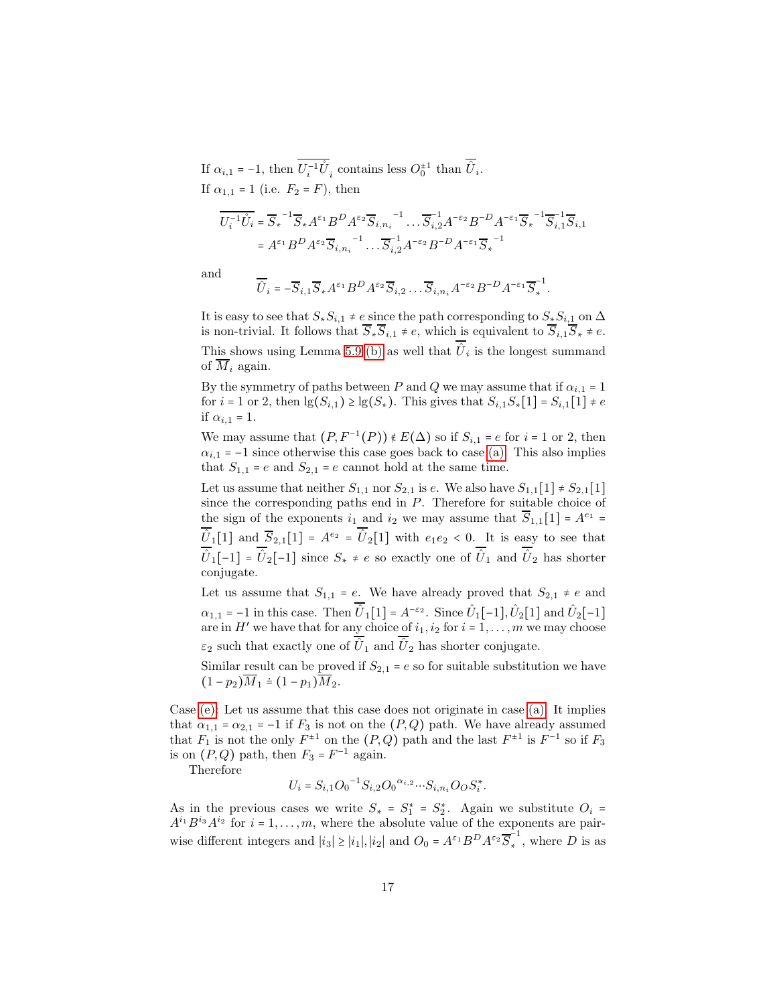If  $\alpha_{i,1} = -1$ , then  $\overline{U_i^{-1} U}_i$  contains less  $O_0^{\pm 1}$  than  $\overline{U}_i$ . If  $\alpha_{1,1} = 1$  (i.e.  $F_2 = F$ ), then

$$
\begin{aligned} \overline{U_i^{-1}\mathring{U}_i} &= \overline{S}_*{}^{-1} \overline{S}_* A^{\varepsilon_1} B^D A^{\varepsilon_2} \overline{S}_{i,n_i}{}^{-1} \dots \overline{S}_{i,2}^{-1} A^{-\varepsilon_2} B^{-D} A^{-\varepsilon_1} \overline{S}_*{}^{-1} \overline{S}_{i,1}^{-1} \overline{S}_{i,1} \\ &= A^{\varepsilon_1} B^D A^{\varepsilon_2} \overline{S}_{i,n_i}{}^{-1} \dots \overline{S}_{i,2}^{-1} A^{-\varepsilon_2} B^{-D} A^{-\varepsilon_1} \overline{S}_*{}^{-1} \end{aligned}
$$

and

$$
\overline{\hat{U}}_i = -\overline{S}_{i,1}\overline{S}_*A^{\varepsilon_1}B^DA^{\varepsilon_2}\overline{S}_{i,2}\dots\overline{S}_{i,n_i}A^{-\varepsilon_2}B^{-D}A^{-\varepsilon_1}\overline{S}_*^{-1}.
$$

It is easy to see that  $S_*S_{i,1} \neq e$  since the path corresponding to  $S_*S_{i,1}$  on  $\Delta$ is non-trivial. It follows that  $\overline{S}_{*}\overline{S}_{i,1} \neq e$ , which is equivalent to  $\overline{S}_{i,1}\overline{S}_{*} \neq e$ . This shows using Lemma 5.9 [\(b\)](#page-14-2) as well that  $\hat{U}_i$  is the longest summand of  $\overline{M}_i$  again.

By the symmetry of paths between P and Q we may assume that if  $\alpha_{i,1} = 1$ for  $i = 1$  or 2, then  $\lg(S_{i,1}) \ge \lg(S_*)$ . This gives that  $S_{i,1}S_*[1] = S_{i,1}[1] \ne e$ if  $\alpha_{i,1} = 1$ .

We may assume that  $(P, F^{-1}(P)) \notin E(\Delta)$  so if  $S_{i,1} = e$  for  $i = 1$  or 2, then  $\alpha_{i,1}$  = −1 since otherwise this case goes back to case [\(a\).](#page-13-0) This also implies that  $S_{1,1}$  = e and  $S_{2,1}$  = e cannot hold at the same time.

Let us assume that neither  $S_{1,1}$  nor  $S_{2,1}$  is e. We also have  $S_{1,1}[1] \neq S_{2,1}[1]$ since the corresponding paths end in P. Therefore for suitable choice of the sign of the exponents  $i_1$  and  $i_2$  we may assume that  $\overline{S}_{1,1}[1] = A^{e_1} =$  $\hat{U}_1[1]$  and  $\overline{S}_{2,1}[1] = A^{e_2} = \hat{U}_2[1]$  with  $e_1e_2 < 0$ . It is easy to see that  $\hat{U}_1[-1] = \hat{U}_2[-1]$  since  $S_* \neq e$  so exactly one of  $\hat{U}_1$  and  $\hat{U}_2$  has shorter conjugate.

Let us assume that  $S_{1,1} = e$ . We have already proved that  $S_{2,1} \neq e$  and  $\alpha_{1,1} = -1$  in this case. Then  $\hat{U}_1[1] = A^{-\epsilon_2}$ . Since  $\hat{U}_1[-1], \hat{U}_2[1]$  and  $\hat{U}_2[-1]$ are in  $H'$  we have that for any choice of  $i_1, i_2$  for  $i = 1, \ldots, m$  we may choose  $\varepsilon_2$  such that exactly one of  $\hat{U}_1$  and  $\hat{U}_2$  has shorter conjugate.

Similar result can be proved if  $S_{2,1} = e$  so for suitable substitution we have  $(1-p_2)\overline{M}_1 \doteq (1-p_1)\overline{M}_2.$ 

Case [\(e\):](#page-14-0) Let us assume that this case does not originate in case [\(a\).](#page-13-0) It implies that  $\alpha_{1,1} = \alpha_{2,1} = -1$  if  $F_3$  is not on the  $(P,Q)$  path. We have already assumed that  $F_1$  is not the only  $F^{\pm 1}$  on the  $(P,Q)$  path and the last  $F^{\pm 1}$  is  $F^{-1}$  so if  $F_3$ is on  $(P,Q)$  path, then  $F_3 = F^{-1}$  again.

Therefore

$$
U_i = S_{i,1}O_0^{-1}S_{i,2}O_0^{\alpha_{i,2}}\cdots S_{i,n_i}O_OS_i^*.
$$

As in the previous cases we write  $S_* = S_1^* = S_2^*$ . Again we substitute  $O_i =$  $A^{i_1}B^{i_3}A^{i_2}$  for  $i=1,\ldots,m$ , where the absolute value of the exponents are pairwise different integers and  $|i_3| \ge |i_1|, |i_2|$  and  $O_0 = A^{\varepsilon_1} B^D A^{\varepsilon_2} \overline{S}_*^{-1}$  $\cdot$ <sup> $\cdot$ </sup>, where *D* is as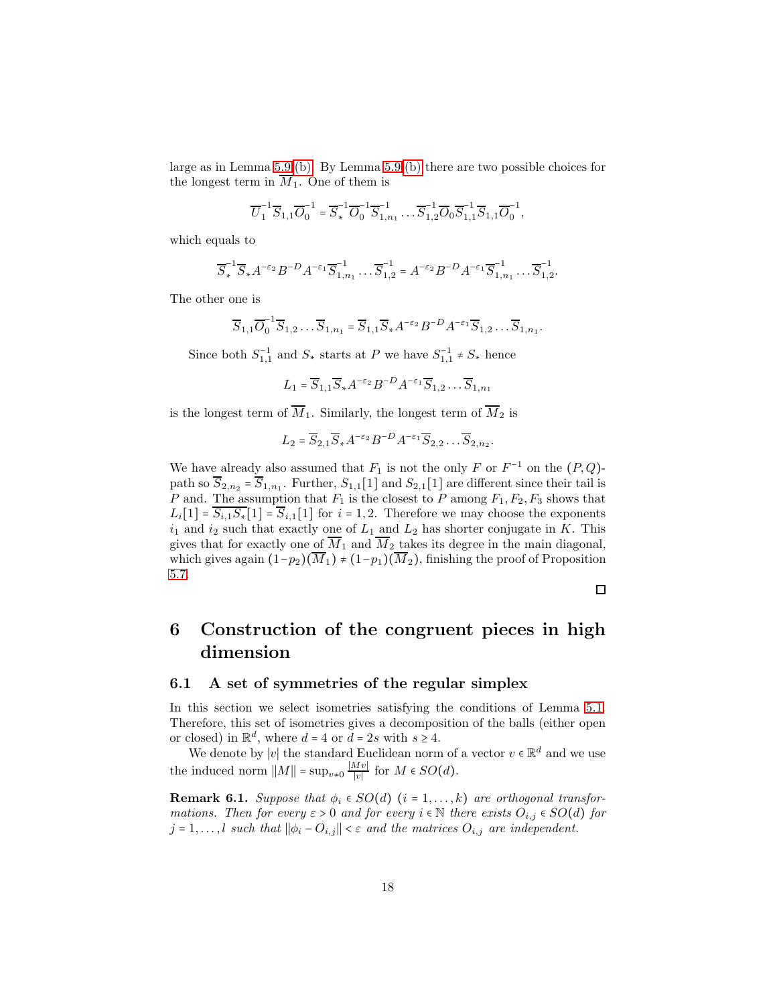large as in Lemma 5.9 [\(b\).](#page-14-2) By Lemma 5.9 [\(b\)](#page-14-2) there are two possible choices for the longest term in  $\overline{M}_1$ . One of them is

$$
\overline{U_1}^1 \overline{S}_{1,1} \overline{O}_0^{-1} = \overline{S}_*^{-1} \overline{O}_0^{-1} \overline{S}_{1,n_1}^{-1} \cdots \overline{S}_{1,2}^{-1} \overline{O}_0 \overline{S}_{1,1}^{-1} \overline{S}_{1,1} \overline{O}_0^{-1},
$$

which equals to

$$
\overline{S}_*^{-1} \overline{S}_* A^{-\epsilon_2} B^{-D} A^{-\epsilon_1} \overline{S}_{1,n_1}^{-1} \dots \overline{S}_{1,2}^{-1} = A^{-\epsilon_2} B^{-D} A^{-\epsilon_1} \overline{S}_{1,n_1}^{-1} \dots \overline{S}_{1,2}^{-1}.
$$

The other one is

$$
\overline{S}_{1,1}\overline{O}_0^{-1}\overline{S}_{1,2}\dots\overline{S}_{1,n_1}=\overline{S}_{1,1}\overline{S}_{*}A^{-\varepsilon_2}B^{-D}A^{-\varepsilon_1}\overline{S}_{1,2}\dots\overline{S}_{1,n_1}.
$$

Since both  $S_{1,1}^{-1}$  and  $S_*$  starts at P we have  $S_{1,1}^{-1} \neq S_*$  hence

$$
L_1 = \overline{S}_{1,1} \overline{S}_{*} A^{-\epsilon_2} B^{-D} A^{-\epsilon_1} \overline{S}_{1,2} \dots \overline{S}_{1,n_1}
$$

is the longest term of  $\overline{M}_1$ . Similarly, the longest term of  $\overline{M}_2$  is

$$
L_2 = \overline{S}_{2,1} \overline{S}_{*} A^{-\epsilon_2} B^{-D} A^{-\epsilon_1} \overline{S}_{2,2} \dots \overline{S}_{2,n_2}.
$$

We have already also assumed that  $F_1$  is not the only F or  $F^{-1}$  on the  $(P,Q)$ path so  $S_{2,n_2} = S_{1,n_1}$ . Further,  $S_{1,1}[1]$  and  $S_{2,1}[1]$  are different since their tail is P and. The assumption that  $F_1$  is the closest to P among  $F_1, F_2, F_3$  shows that  $L_i[1] = \overline{S_{i,1}S_{*}}[1] = \overline{S}_{i,1}[1]$  for  $i = 1, 2$ . Therefore we may choose the exponents  $i_1$  and  $i_2$  such that exactly one of  $L_1$  and  $L_2$  has shorter conjugate in K. This gives that for exactly one of  $\overline{M}_1$  and  $\overline{M}_2$  takes its degree in the main diagonal, which gives again  $(1-p_2)(\overline{M}_1) \neq (1-p_1)(\overline{M}_2)$ , finishing the proof of Proposition [5.7.](#page-12-2)

# <span id="page-17-0"></span>6 Construction of the congruent pieces in high dimension

#### 6.1 A set of symmetries of the regular simplex

In this section we select isometries satisfying the conditions of Lemma [5.1.](#page-8-3) Therefore, this set of isometries gives a decomposition of the balls (either open or closed) in  $\mathbb{R}^d$ , where  $d = 4$  or  $d = 2s$  with  $s \geq 4$ .

We denote by  $|v|$  the standard Euclidean norm of a vector  $v \in \mathbb{R}^d$  and we use the induced norm  $||M|| = \sup_{v \neq 0} \frac{|Mv|}{|v|}$  $\frac{\langle Wv\rangle}{|v|}$  for  $M \in SO(d)$ .

<span id="page-17-1"></span>**Remark 6.1.** Suppose that  $\phi_i \in SO(d)$   $(i = 1, ..., k)$  are orthogonal transformations. Then for every  $\varepsilon > 0$  and for every  $i \in \mathbb{N}$  there exists  $O_{i,j} \in SO(d)$  for  $j = 1, \ldots, l$  such that  $\|\phi_i - O_{i,j}\| < \varepsilon$  and the matrices  $O_{i,j}$  are independent.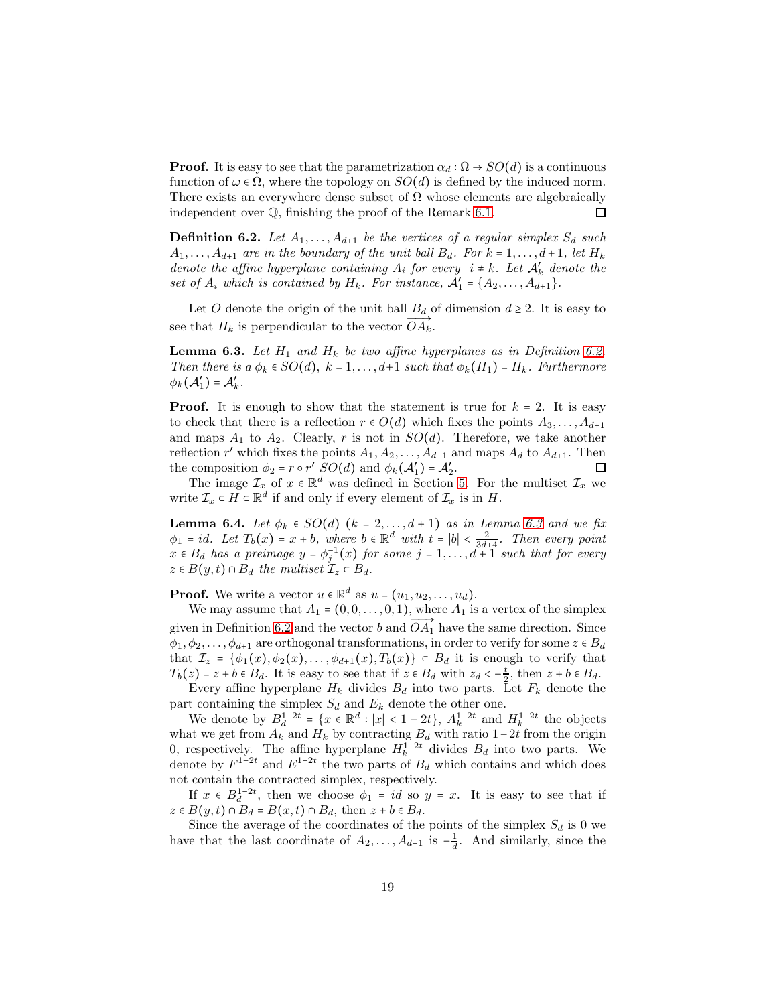**Proof.** It is easy to see that the parametrization  $\alpha_d : \Omega \to SO(d)$  is a continuous function of  $\omega \in \Omega$ , where the topology on  $SO(d)$  is defined by the induced norm. There exists an everywhere dense subset of  $\Omega$  whose elements are algebraically □ independent over Q, finishing the proof of the Remark [6.1.](#page-17-1)

<span id="page-18-0"></span>**Definition 6.2.** Let  $A_1, \ldots, A_{d+1}$  be the vertices of a regular simplex  $S_d$  such  $A_1, \ldots, A_{d+1}$  are in the boundary of the unit ball  $B_d$ . For  $k = 1, \ldots, d+1$ , let  $H_k$ denote the affine hyperplane containing  $A_i$  for every  $i \neq k$ . Let  $A'_k$  denote the set of  $A_i$  which is contained by  $H_k$ . For instance,  $A'_1 = \{A_2, \ldots, A_{d+1}\}.$ 

Let O denote the origin of the unit ball  $B_d$  of dimension  $d \geq 2$ . It is easy to see that  $H_k$  is perpendicular to the vector  $OA_k$ .

<span id="page-18-1"></span>**Lemma 6.3.** Let  $H_1$  and  $H_k$  be two affine hyperplanes as in Definition [6.2.](#page-18-0) Then there is a  $\phi_k \in SO(d)$ ,  $k = 1, \ldots, d+1$  such that  $\phi_k(H_1) = H_k$ . Furthermore  $\phi_k(\mathcal{A}'_1) = \mathcal{A}'_k.$ 

**Proof.** It is enough to show that the statement is true for  $k = 2$ . It is easy to check that there is a reflection  $r \in O(d)$  which fixes the points  $A_3, \ldots, A_{d+1}$ and maps  $A_1$  to  $A_2$ . Clearly, r is not in  $SO(d)$ . Therefore, we take another reflection r' which fixes the points  $A_1, A_2, \ldots, A_{d-1}$  and maps  $A_d$  to  $A_{d+1}$ . Then the composition  $\phi_2 = r \circ r'$   $SO(d)$  and  $\phi_k(\mathcal{A}'_1) = \mathcal{A}'_2$ .

The image  $\mathcal{I}_x$  of  $x \in \mathbb{R}^d$  was defined in Section [5.](#page-8-0) For the multiset  $\mathcal{I}_x$  we write  $\mathcal{I}_x \subset H \subset \mathbb{R}^d$  if and only if every element of  $\mathcal{I}_x$  is in H.

<span id="page-18-2"></span>**Lemma 6.4.** Let  $\phi_k \in SO(d)$   $(k = 2, \ldots, d + 1)$  as in Lemma [6.3](#page-18-1) and we fix  $\phi_1 = id$ . Let  $T_b(x) = x + b$ , where  $b \in \mathbb{R}^d$  with  $t = |b| < \frac{2}{3d+4}$ . Then every point  $x \in B_d$  has a preimage  $y = \phi_j^{-1}(x)$  for some  $j = 1, \ldots, d+1$  such that for every  $z \in B(y,t) \cap B_d$  the multiset  $\mathcal{I}_z \subset B_d$ .

**Proof.** We write a vector  $u \in \mathbb{R}^d$  as  $u = (u_1, u_2, \dots, u_d)$ .

We may assume that  $A_1 = (0, 0, \ldots, 0, 1)$ , where  $A_1$  is a vertex of the simplex given in Definition [6.2](#page-18-0) and the vector b and  $\overrightarrow{OA_1}$  have the same direction. Since  $\phi_1, \phi_2, \ldots, \phi_{d+1}$  are orthogonal transformations, in order to verify for some  $z \in B_d$ that  $\mathcal{I}_z = \{\phi_1(x), \phi_2(x), \ldots, \phi_{d+1}(x), T_b(x)\} \subset B_d$  it is enough to verify that  $T_b(z) = z + b \in B_d$ . It is easy to see that if  $z \in B_d$  with  $z_d < -\frac{t}{2}$ , then  $z + b \in B_d$ .

Every affine hyperplane  $H_k$  divides  $B_d$  into two parts. Let  $F_k$  denote the part containing the simplex  $S_d$  and  $E_k$  denote the other one.

We denote by  $B_d^{1-2t} = \{x \in \mathbb{R}^d : |x| < 1 - 2t\}, A_k^{1-2t}$  and  $H_k^{1-2t}$  the objects what we get from  $A_k$  and  $H_k$  by contracting  $B_d$  with ratio 1−2t from the origin 0, respectively. The affine hyperplane  $H_k^{1-2t}$  divides  $B_d$  into two parts. We denote by  $F^{1-2t}$  and  $E^{1-2t}$  the two parts of  $B_d$  which contains and which does not contain the contracted simplex, respectively.

If  $x \in B_d^{1-2t}$ , then we choose  $\phi_1 = id$  so  $y = x$ . It is easy to see that if  $z \in B(y,t) \cap B_d = B(x,t) \cap B_d$ , then  $z + b \in B_d$ .

Since the average of the coordinates of the points of the simplex  $S_d$  is 0 we have that the last coordinate of  $A_2, \ldots, A_{d+1}$  is  $-\frac{1}{d}$  $\frac{1}{d}$ . And similarly, since the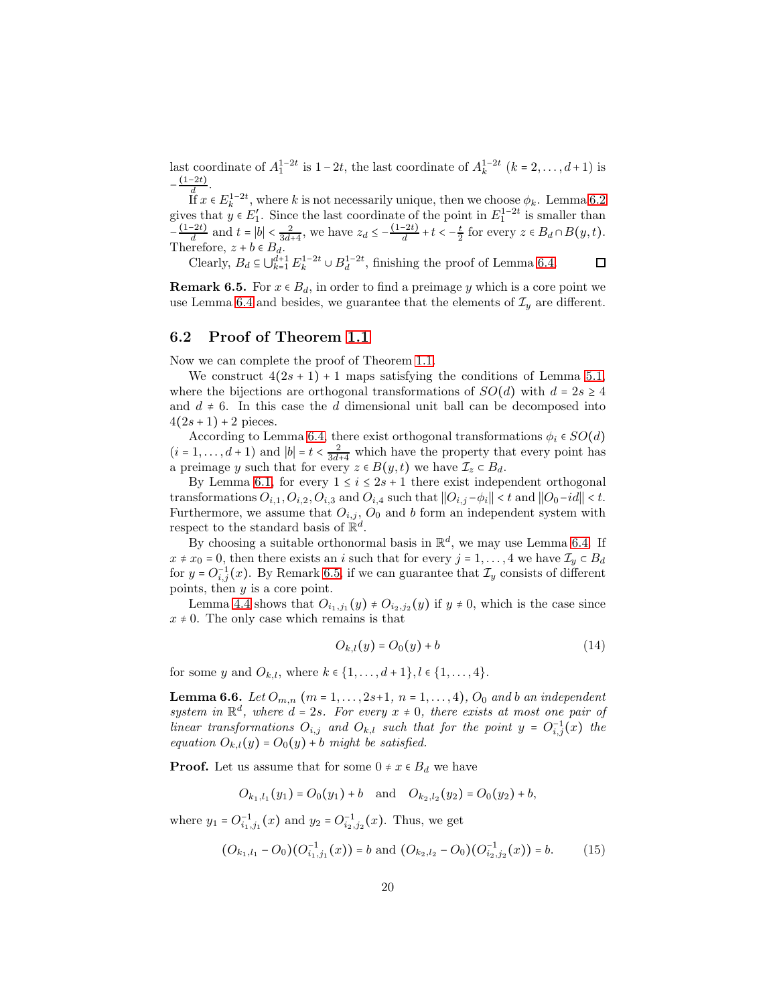last coordinate of  $A_1^{1-2t}$  is  $1-2t$ , the last coordinate of  $A_k^{1-2t}$   $(k = 2, ..., d+1)$  is  $-\frac{(1-2t)}{d}$ .  $(1-2t)$ 

If  $x \in E_k^{1-2t}$ , where k is not necessarily unique, then we choose  $\phi_k$ . Lemma [6.2](#page-18-0) gives that  $y \in E'_1$ . Since the last coordinate of the point in  $E_1^{1-2t}$  is smaller than  $-\frac{(1-2t)}{d}$  and  $t = |b| < \frac{2}{3d+4}$ , we have  $z_d \le -\frac{(1-2t)}{d} + t < -\frac{t}{2}$  for every  $z \in B_d \cap B(y, t)$ . Therefore,  $z + b \in B_d$ .

Clearly,  $B_d \subseteq \bigcup_{k=1}^{\tilde{d}+1} E_k^{1-2t} \cup B_d^{1-2t}$ , finishing the proof of Lemma [6.4.](#page-18-2) 口

<span id="page-19-0"></span>**Remark 6.5.** For  $x \in B_d$ , in order to find a preimage y which is a core point we use Lemma [6.4](#page-18-2) and besides, we guarantee that the elements of  $\mathcal{I}_y$  are different.

#### 6.2 Proof of Theorem [1.1](#page-1-0)

Now we can complete the proof of Theorem [1.1.](#page-1-0)

We construct  $4(2s + 1) + 1$  maps satisfying the conditions of Lemma [5.1,](#page-8-3) where the bijections are orthogonal transformations of  $SO(d)$  with  $d = 2s \geq 4$ and  $d \neq 6$ . In this case the d dimensional unit ball can be decomposed into  $4(2s+1)+2$  pieces.

According to Lemma [6.4,](#page-18-2) there exist orthogonal transformations  $\phi_i \in SO(d)$  $(i = 1, \ldots, d + 1)$  and  $|b| = t < \frac{2}{3d+4}$  which have the property that every point has a preimage y such that for every  $z \in B(y,t)$  we have  $\mathcal{I}_z \subset B_d$ .

By Lemma [6.1,](#page-17-1) for every  $1 \leq i \leq 2s + 1$  there exist independent orthogonal transformations  $O_{i,1}, O_{i,2}, O_{i,3}$  and  $O_{i,4}$  such that  $||O_{i,j} - \phi_i|| < t$  and  $||O_0 - id|| < t$ . Furthermore, we assume that  $O_{i,j}$ ,  $O_0$  and b form an independent system with respect to the standard basis of  $\mathbb{R}^d$ .

By choosing a suitable orthonormal basis in  $\mathbb{R}^d$ , we may use Lemma [6.4.](#page-18-2) If  $x \neq x_0 = 0$ , then there exists an i such that for every  $j = 1, ..., 4$  we have  $\mathcal{I}_y \subset B_d$ for  $y = O_{i,j}^{-1}(x)$ . By Remark [6.5,](#page-19-0) if we can guarantee that  $\mathcal{I}_y$  consists of different points, then y is a core point.

Lemma [4.4](#page-8-1) shows that  $O_{i_1,j_1}(y) \neq O_{i_2,j_2}(y)$  if  $y \neq 0$ , which is the case since  $x \neq 0$ . The only case which remains is that

$$
O_{k,l}(y) = O_0(y) + b \tag{14}
$$

for some y and  $O_{k,l}$ , where  $k \in \{1, ..., d+1\}, l \in \{1, ..., 4\}.$ 

<span id="page-19-2"></span>**Lemma 6.6.** Let  $O_{m,n}$   $(m = 1, ..., 2s+1, n = 1, ..., 4)$ ,  $O_0$  and b an independent system in  $\mathbb{R}^d$ , where  $d = 2s$ . For every  $x \neq 0$ , there exists at most one pair of linear transformations  $O_{i,j}$  and  $O_{k,l}$  such that for the point  $y = O_{i,j}^{-1}(x)$  the equation  $O_{k,l}(y) = O_0(y) + b$  might be satisfied.

**Proof.** Let us assume that for some  $0 \neq x \in B_d$  we have

 $O_{k_1, l_1}(y_1) = O_0(y_1) + b$  and  $O_{k_2, l_2}(y_2) = O_0(y_2) + b$ ,

where  $y_1 = O_{i_1, j_1}^{-1}(x)$  and  $y_2 = O_{i_2, j_2}^{-1}(x)$ . Thus, we get

<span id="page-19-1"></span>
$$
(O_{k_1,l_1} - O_0)(O_{i_1,j_1}^{-1}(x)) = b \text{ and } (O_{k_2,l_2} - O_0)(O_{i_2,j_2}^{-1}(x)) = b. \tag{15}
$$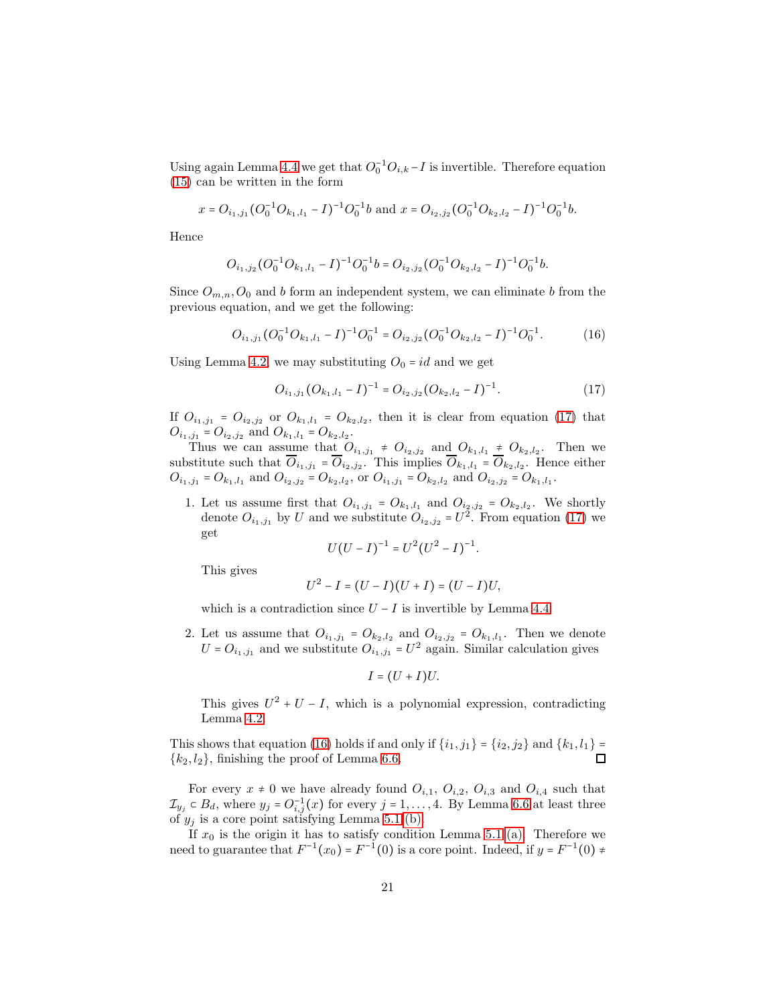Using again Lemma [4.4](#page-8-1) we get that  $O_0^{-1}O_{i,k}-I$  is invertible. Therefore equation [\(15\)](#page-19-1) can be written in the form

$$
x=O_{i_1,j_1}(O_0^{-1}O_{k_1,l_1}-I)^{-1}O_0^{-1}b \text{ and } x=O_{i_2,j_2}(O_0^{-1}O_{k_2,l_2}-I)^{-1}O_0^{-1}b.
$$

Hence

$$
O_{i_1,j_2}(O_0^{-1}O_{k_1,l_1}-I)^{-1}O_0^{-1}b=O_{i_2,j_2}(O_0^{-1}O_{k_2,l_2}-I)^{-1}O_0^{-1}b.
$$

Since  $O_{m,n}, O_0$  and b form an independent system, we can eliminate b from the previous equation, and we get the following:

<span id="page-20-1"></span>
$$
O_{i_1,j_1}(O_0^{-1}O_{k_1,l_1}-I)^{-1}O_0^{-1}=O_{i_2,j_2}(O_0^{-1}O_{k_2,l_2}-I)^{-1}O_0^{-1}.
$$
 (16)

Using Lemma [4.2,](#page-7-1) we may substituting  $O_0 = id$  and we get

<span id="page-20-0"></span>
$$
O_{i_1,j_1}(O_{k_1,l_1} - I)^{-1} = O_{i_2,j_2}(O_{k_2,l_2} - I)^{-1}.
$$
\n(17)

If  $O_{i_1,j_1} = O_{i_2,j_2}$  or  $O_{k_1,l_1} = O_{k_2,l_2}$ , then it is clear from equation [\(17\)](#page-20-0) that  $O_{i_1,j_1} = O_{i_2,j_2}$  and  $O_{k_1,l_1} = O_{k_2,l_2}$ .

Thus we can assume that  $O_{i_1,j_1} \neq O_{i_2,j_2}$  and  $O_{k_1,l_1} \neq O_{k_2,l_2}$ . Then we substitute such that  $O_{i_1,j_1} = O_{i_2,j_2}$ . This implies  $O_{k_1,l_1} = O_{k_2,l_2}$ . Hence either  $O_{i_1,j_1} = O_{k_1,l_1}$  and  $O_{i_2,j_2} = O_{k_2,l_2}$ , or  $O_{i_1,j_1} = O_{k_2,l_2}$  and  $O_{i_2,j_2} = O_{k_1,l_1}$ .

1. Let us assume first that  $O_{i_1,j_1} = O_{k_1,l_1}$  and  $O_{i_2,j_2} = O_{k_2,l_2}$ . We shortly denote  $O_{i_1,j_1}$  by U and we substitute  $O_{i_2,j_2} = U^{\tilde{2}}$ . From equation [\(17\)](#page-20-0) we get

$$
U(U - I)^{-1} = U^2(U^2 - I)^{-1}.
$$

This gives

$$
U^2 - I = (U - I)(U + I) = (U - I)U,
$$

which is a contradiction since  $U - I$  is invertible by Lemma [4.4.](#page-8-1)

2. Let us assume that  $O_{i_1,j_1} = O_{k_2,l_2}$  and  $O_{i_2,j_2} = O_{k_1,l_1}$ . Then we denote  $U = O_{i_1, j_1}$  and we substitute  $O_{i_1, j_1} = U^2$  again. Similar calculation gives

$$
I=(U+I)U.
$$

This gives  $U^2 + U - I$ , which is a polynomial expression, contradicting Lemma [4.2.](#page-7-1)

This shows that equation [\(16\)](#page-20-1) holds if and only if  $\{i_1, j_1\} = \{i_2, j_2\}$  and  $\{k_1, l_1\} = \{k_2, l_2\}$  finishing the proof of Lemma 6.6  ${k_2, l_2}$ , finishing the proof of Lemma [6.6.](#page-19-2)

For every  $x \neq 0$  we have already found  $O_{i,1}$ ,  $O_{i,2}$ ,  $O_{i,3}$  and  $O_{i,4}$  such that  $\mathcal{I}_{y_j} \subset B_d$ , where  $y_j = O_{i,j}^{-1}(x)$  for every  $j = 1, \ldots, 4$ . By Lemma [6.6](#page-19-2) at least three of  $y_i$  is a core point satisfying Lemma [5.1](#page-8-3) [\(b\).](#page-8-4)

If  $x_0$  is the origin it has to satisfy condition Lemma [5.1](#page-8-3) [\(a\).](#page-8-5) Therefore we need to guarantee that  $F^{-1}(x_0) = F^{-1}(0)$  is a core point. Indeed, if  $y = F^{-1}(0) \neq$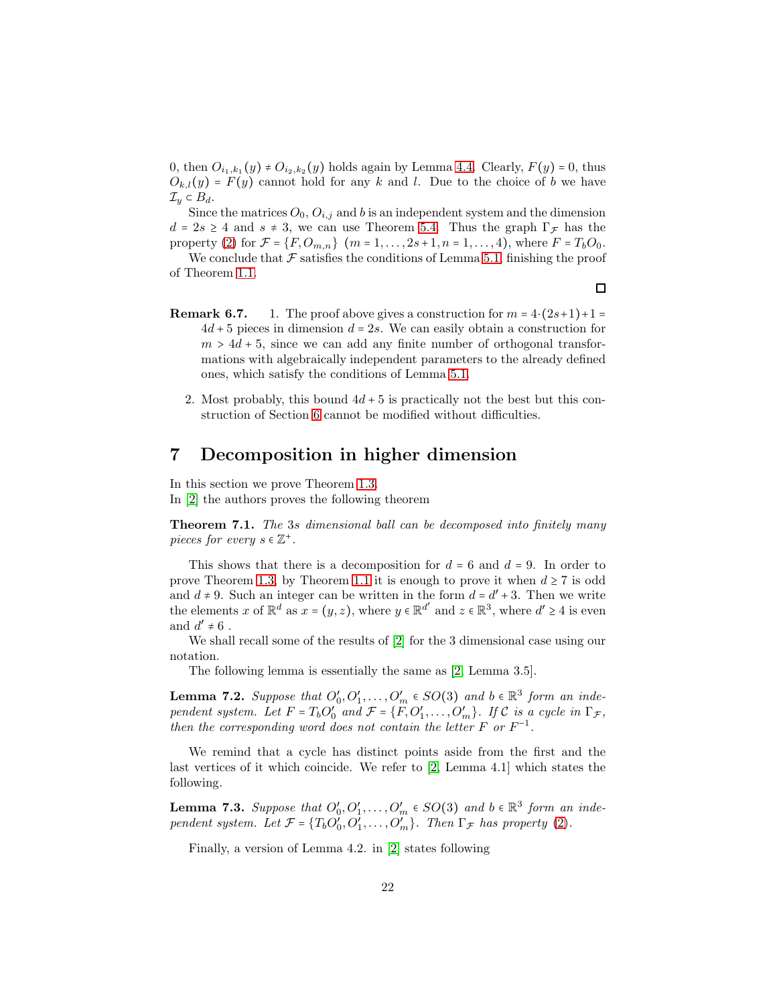0, then  $O_{i_1,k_1}(y) \neq O_{i_2,k_2}(y)$  holds again by Lemma [4.4.](#page-8-1) Clearly,  $F(y) = 0$ , thus  $O_{k,l}(y) = F(y)$  cannot hold for any k and l. Due to the choice of b we have  $\mathcal{I}_y \subset B_d$ .

Since the matrices  $O_0$ ,  $O_{i,j}$  and b is an independent system and the dimension  $d = 2s \geq 4$  and  $s \neq 3$ , we can use Theorem [5.4.](#page-9-1) Thus the graph  $\Gamma_{\mathcal{F}}$  has the property [\(2\)](#page-8-2) for  $\mathcal{F} = \{F, O_{m,n}\}\$  ( $m = 1, \ldots, 2s+1, n = 1, \ldots, 4$ ), where  $F = T_b O_0$ .

We conclude that  $\mathcal F$  satisfies the conditions of Lemma [5.1,](#page-8-3) finishing the proof of Theorem [1.1.](#page-1-0)

- **Remark 6.7.** 1. The proof above gives a construction for  $m = 4 \cdot (2s+1)+1 =$  $4d + 5$  pieces in dimension  $d = 2s$ . We can easily obtain a construction for  $m > 4d + 5$ , since we can add any finite number of orthogonal transformations with algebraically independent parameters to the already defined ones, which satisfy the conditions of Lemma [5.1.](#page-8-3)
	- 2. Most probably, this bound  $4d + 5$  is practically not the best but this construction of Section [6](#page-17-0) cannot be modified without difficulties.

### <span id="page-21-0"></span>7 Decomposition in higher dimension

In this section we prove Theorem [1.3.](#page-1-2)

In [\[2\]](#page-26-2) the authors proves the following theorem

**Theorem 7.1.** The 3s dimensional ball can be decomposed into finitely many pieces for every  $s \in \mathbb{Z}^+$ .

This shows that there is a decomposition for  $d = 6$  and  $d = 9$ . In order to prove Theorem [1.3,](#page-1-2) by Theorem [1.1](#page-1-0) it is enough to prove it when  $d \geq 7$  is odd and  $d \neq 9$ . Such an integer can be written in the form  $d = d' + 3$ . Then we write the elements x of  $\mathbb{R}^d$  as  $x = (y, z)$ , where  $y \in \mathbb{R}^{d'}$  and  $z \in \mathbb{R}^3$ , where  $d' \ge 4$  is even and  $d' \neq 6$ .

We shall recall some of the results of [\[2\]](#page-26-2) for the 3 dimensional case using our notation.

The following lemma is essentially the same as [\[2,](#page-26-2) Lemma 3.5].

<span id="page-21-1"></span>**Lemma 7.2.** Suppose that  $O'_0, O'_1, \ldots, O'_m \in SO(3)$  and  $b \in \mathbb{R}^3$  form an independent system. Let  $F = T_b O_0'$  and  $\mathcal{F} = \{F, O_1', \ldots, O_m'\}$ . If C is a cycle in  $\Gamma_{\mathcal{F}}$ , then the corresponding word does not contain the letter  $F$  or  $F^{-1}$ .

We remind that a cycle has distinct points aside from the first and the last vertices of it which coincide. We refer to [\[2,](#page-26-2) Lemma 4.1] which states the following.

**Lemma 7.3.** Suppose that  $O'_0, O'_1, \ldots, O'_m \in SO(3)$  and  $b \in \mathbb{R}^3$  form an independent system. Let  $\mathcal{F} = \{T_b O'_0, O'_1, \ldots, O'_m\}$ . Then  $\Gamma_{\mathcal{F}}$  has property [\(2\)](#page-8-2).

Finally, a version of Lemma 4.2. in [\[2\]](#page-26-2) states following

 $\Box$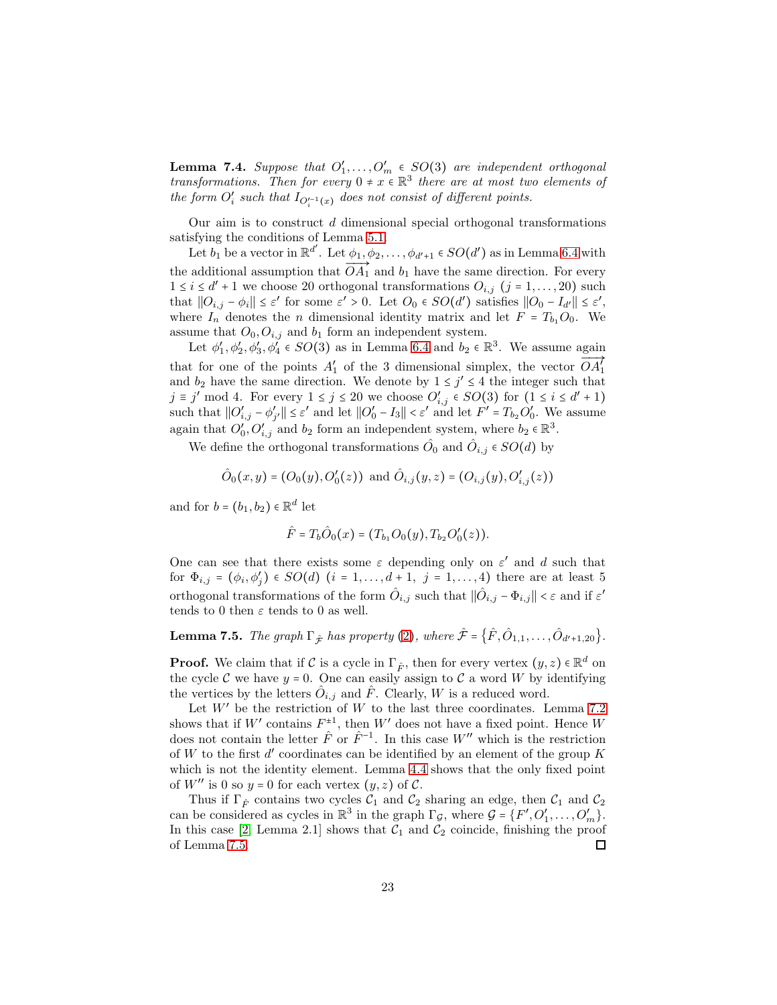<span id="page-22-1"></span>**Lemma 7.4.** Suppose that  $O'_1, \ldots, O'_m \in SO(3)$  are independent orthogonal transformations. Then for every  $0 \neq x \in \mathbb{R}^3$  there are at most two elements of the form  $O'_{i}$  such that  $I_{O_{i}^{\prime-1}(x)}$  does not consist of different points.

Our aim is to construct  $d$  dimensional special orthogonal transformations satisfying the conditions of Lemma [5.1.](#page-8-3)

Let  $b_1$  be a vector in  $\mathbb{R}^{d'}$ . Let  $\phi_1, \phi_2, \ldots, \phi_{d'+1} \in SO(d')$  as in Lemma [6.4](#page-18-2) with the additional assumption that  $\overrightarrow{OA_1}$  and  $b_1$  have the same direction. For every  $1 \leq i \leq d' + 1$  we choose 20 orthogonal transformations  $O_{i,j}$   $(j = 1, ..., 20)$  such that  $||O_{i,j} - \phi_i|| \leq \varepsilon'$  for some  $\varepsilon' > 0$ . Let  $O_0 \in SO(d')$  satisfies  $||O_0 - I_{d'}|| \leq \varepsilon'$ , where  $I_n$  denotes the *n* dimensional identity matrix and let  $F = T_{b_1}O_0$ . We assume that  $O_0$ ,  $O_{i,j}$  and  $b_1$  form an independent system.

Let  $\phi'_1, \phi'_2, \phi'_3, \phi'_4 \in SO(3)$  as in Lemma [6.4](#page-18-2) and  $b_2 \in \mathbb{R}^3$ . We assume again that for one of the points  $A'_1$  of the 3 dimensional simplex, the vector  $OA'_1$ and  $b_2$  have the same direction. We denote by  $1 \leq j' \leq 4$  the integer such that j ≡ j' mod 4. For every  $1 \le j \le 20$  we choose  $O'_{i,j} \in SO(3)$  for  $(1 \le i \le d' + 1)$ such that  $||O'_{i,j} - \phi'_{j'}|| \leq \varepsilon'$  and let  $||O'_{0} - I_{3}|| < \varepsilon'$  and let  $F' = T_{b_2}O'_{0}$ . We assume again that  $O'_0, O'_{i,j}$  and  $b_2$  form an independent system, where  $b_2 \in \mathbb{R}^3$ .

We define the orthogonal transformations  $\hat{O}_0$  and  $\hat{O}_{i,j} \in SO(d)$  by

$$
\hat{O}_0(x,y) = (O_0(y), O'_0(z))
$$
 and  $\hat{O}_{i,j}(y,z) = (O_{i,j}(y), O'_{i,j}(z))$ 

and for  $b = (b_1, b_2) \in \mathbb{R}^d$  let

$$
\hat{F} = T_b \hat{O}_0(x) = (T_{b_1} O_0(y), T_{b_2} O_0'(z)).
$$

One can see that there exists some  $\varepsilon$  depending only on  $\varepsilon'$  and d such that for  $\Phi_{i,j} = (\phi_i, \phi'_j) \in SO(d)$   $(i = 1, ..., d+1, j = 1, ..., 4)$  there are at least 5 orthogonal transformations of the form  $\hat{O}_{i,j}$  such that  $\|\hat{O}_{i,j} - \Phi_{i,j}\| < \varepsilon$  and if  $\varepsilon'$ tends to 0 then  $\varepsilon$  tends to 0 as well.

<span id="page-22-0"></span>**Lemma 7.5.** The graph  $\Gamma_{\hat{\mathcal{F}}}$  has property ([2](#page-8-2)), where  $\hat{\mathcal{F}} = \{ \hat{F}, \hat{O}_{1,1}, \dots, \hat{O}_{d'+1,20} \}.$ 

**Proof.** We claim that if C is a cycle in  $\Gamma_{\hat{F}}$ , then for every vertex  $(y, z) \in \mathbb{R}^d$  on the cycle C we have  $y = 0$ . One can easily assign to C a word W by identifying the vertices by the letters  $\hat{O}_{i,j}$  and  $\hat{F}$ . Clearly, W is a reduced word.

Let  $W'$  be the restriction of  $W$  to the last three coordinates. Lemma [7.2](#page-21-1) shows that if  $W'$  contains  $F^{\pm 1}$ , then  $W'$  does not have a fixed point. Hence W does not contain the letter  $\hat{F}$  or  $\hat{F}^{-1}$ . In this case W'' which is the restriction of W to the first  $d'$  coordinates can be identified by an element of the group K which is not the identity element. Lemma [4.4](#page-8-1) shows that the only fixed point of  $W''$  is 0 so  $y = 0$  for each vertex  $(y, z)$  of  $\mathcal{C}$ .

Thus if  $\Gamma_{\hat{F}}$  contains two cycles  $\mathcal{C}_1$  and  $\mathcal{C}_2$  sharing an edge, then  $\mathcal{C}_1$  and  $\mathcal{C}_2$ can be considered as cycles in  $\mathbb{R}^3$  in the graph  $\Gamma_{\mathcal{G}}$ , where  $\mathcal{G} = \{F', O'_1, \ldots, O'_m\}$ . In this case [\[2,](#page-26-2) Lemma 2.1] shows that  $C_1$  and  $C_2$  coincide, finishing the proof of Lemma [7.5.](#page-22-0) □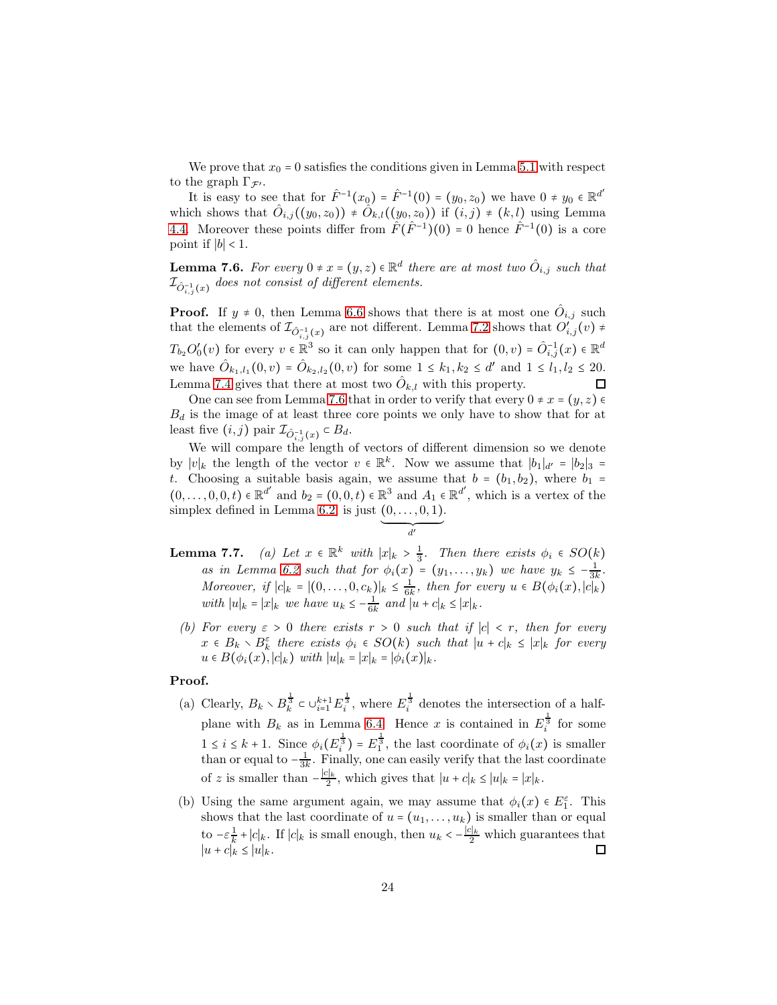We prove that  $x_0 = 0$  satisfies the conditions given in Lemma [5.1](#page-8-3) with respect to the graph  $\Gamma_{\mathcal{F}'}$ .

It is easy to see that for  $\hat{F}^{-1}(x_0) = \hat{F}^{-1}(0) = (y_0, z_0)$  we have  $0 \neq y_0 \in \mathbb{R}^{d'}$ which shows that  $\hat{O}_{i,j}((y_0, z_0)) \neq \hat{O}_{k,l}((y_0, z_0))$  if  $(i,j) \neq (k,l)$  using Lemma [4.4.](#page-8-1) Moreover these points differ from  $\hat{F}(\hat{F}^{-1})(0) = 0$  hence  $\hat{F}^{-1}(0)$  is a core point if  $|b|$  < 1.

<span id="page-23-0"></span>**Lemma 7.6.** For every  $0 \neq x = (y, z) \in \mathbb{R}^d$  there are at most two  $\hat{O}_{i,j}$  such that  $\mathcal{I}_{\hat{O}_{i,j}^{-1}(x)}$  does not consist of different elements.

**Proof.** If  $y \neq 0$ , then Lemma [6.6](#page-19-2) shows that there is at most one  $\hat{O}_{i,j}$  such that the elements of  $\mathcal{I}_{\hat{O}_{i,j}^{-1}(x)}$  are not different. Lemma [7.2](#page-21-1) shows that  $O'_{i,j}(v) \neq$  $T_{b_2}O'_0(v)$  for every  $v \in \mathbb{R}^3$  so it can only happen that for  $(0, v) = \hat{O}_{i,j}^{-1}(x) \in \mathbb{R}^d$ we have  $\hat{O}_{k_1, l_1}(0, v) = \hat{O}_{k_2, l_2}(0, v)$  for some  $1 \leq k_1, k_2 \leq d'$  and  $1 \leq l_1, l_2 \leq 20$ . Lemma [7.4](#page-22-1) gives that there at most two  $\hat{O}_{k,l}$  with this property.  $\Box$ 

One can see from Lemma [7.6](#page-23-0) that in order to verify that every  $0 \neq x = (y, z) \in$  $B_d$  is the image of at least three core points we only have to show that for at least five  $(i, j)$  pair  $\mathcal{I}_{\hat{O}_{i,j}^{-1}(x)} \subset B_d$ .

We will compare the length of vectors of different dimension so we denote by  $|v|_k$  the length of the vector  $v \in \mathbb{R}^k$ . Now we assume that  $|b_1|_{d'} = |b_2|_3$  = t. Choosing a suitable basis again, we assume that  $b = (b_1, b_2)$ , where  $b_1 =$  $(0,\ldots,0,0,t) \in \mathbb{R}^{d'}$  and  $b_2 = (0,0,t) \in \mathbb{R}^3$  and  $A_1 \in \mathbb{R}^{d'}$ , which is a vertex of the simplex defined in Lemma [6.2,](#page-18-0) is just  $(0, \ldots, 0, 1)$ .

$$
\underbrace{\qquad \qquad }_{d'}
$$

- <span id="page-23-2"></span><span id="page-23-1"></span>**Lemma 7.7.** (a) Let  $x \in \mathbb{R}^k$  with  $|x|_k > \frac{1}{3}$ . Then there exists  $\phi_i \in SO(k)$ as in Lemma [6.2](#page-18-0) such that for  $\phi_i(x) = (y_1, \ldots, y_k)$  we have  $y_k \leq -\frac{1}{3k}$ . Moreover, if  $|c|_k = |(0,\ldots,0,c_k)|_k \leq \frac{1}{6k}$ , then for every  $u \in B(\phi_i(x),|c|_k)$ with  $|u|_k = |x|_k$  we have  $u_k \leq -\frac{1}{6k}$  and  $|u + c|_k \leq |x|_k$ .
	- (b) For every  $\varepsilon > 0$  there exists  $r > 0$  such that if  $|c| < r$ , then for every  $x \in B_k \setminus B_k^{\varepsilon}$  there exists  $\phi_i \in SO(k)$  such that  $|u + c|_k \leq |x|_k$  for every  $u \in B(\phi_i(x), |c|_k)$  with  $|u|_k = |x|_k = |\phi_i(x)|_k$ .

#### Proof.

- (a) Clearly,  $B_k \setminus B_k^{\frac{1}{3}} \subset \cup_{i=1}^{k+1} E_i^{\frac{1}{3}}$ , where  $E_i^{\frac{1}{3}}$  denotes the intersection of a halfplane with  $B_k$  as in Lemma [6.4.](#page-18-2) Hence x is contained in  $E_i^{\frac{1}{3}}$  for some  $1 \leq i \leq k+1$ . Since  $\phi_i(E_i^{\frac{1}{3}}) = E_1^{\frac{1}{3}}$ , the last coordinate of  $\phi_i(x)$  is smaller than or equal to  $-\frac{1}{3k}$ . Finally, one can easily verify that the last coordinate of z is smaller than  $-\frac{|c|_k}{2}$ , which gives that  $|u + c|_k \leq |u|_k = |x|_k$ .
- (b) Using the same argument again, we may assume that  $\phi_i(x) \in E_1^{\varepsilon}$ . This shows that the last coordinate of  $u = (u_1, \ldots, u_k)$  is smaller than or equal to  $-\varepsilon \frac{1}{k}$  $\frac{1}{k}$  + |c|<sub>k</sub>. If |c|<sub>k</sub> is small enough, then  $u_k < -\frac{|c|_k}{2}$  which guarantees that  $|u + c|_k \leq |u|_k.$  $\Box$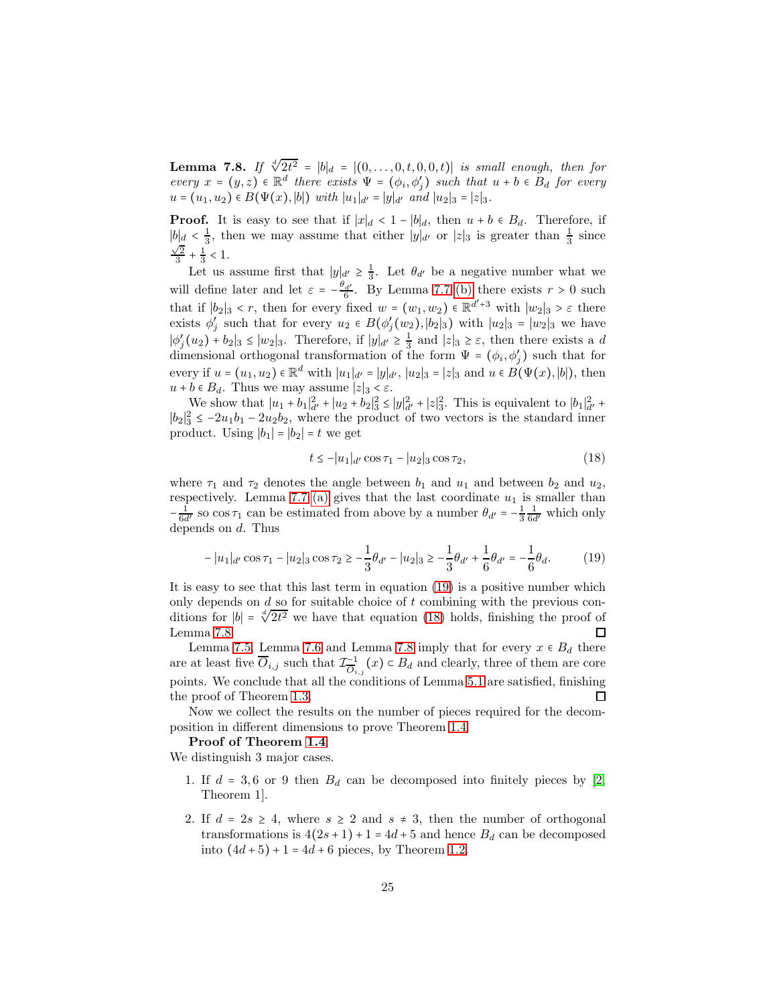<span id="page-24-2"></span>**Lemma 7.8.** If  $\sqrt[d]{2t^2} = |b|_d = |(0, \ldots, 0, t, 0, 0, t)|$  is small enough, then for every  $x = (y, z) \in \mathbb{R}^d$  there exists  $\Psi = (\phi_i, \phi'_j)$  such that  $u + b \in B_d$  for every  $u = (u_1, u_2) \in B(\Psi(x), |b|)$  with  $|u_1|_{d'} = |y|_{d'}$  and  $|u_2|_3 = |z|_3$ .

**Proof.** It is easy to see that if  $|x|_d < 1 - |b|_d$ , then  $u + b \in B_d$ . Therefore, if  $|b|_d < \frac{1}{3}$ , then we may assume that either  $|y|_{d'}$  or  $|z|_3$  is greater than  $\frac{1}{3}$  since  $\frac{\sqrt{2}}{3} + \frac{1}{3} < 1.$ 

Let us assume first that  $|y|_{d'} \geq \frac{1}{3}$ . Let  $\theta_{d'}$  be a negative number what we will define later and let  $\varepsilon = -\frac{\theta_d}{6}$ . By Lemma 7.7 [\(b\)](#page-23-1) there exists  $r > 0$  such that if  $|b_2|_3 < r$ , then for every fixed  $w = (w_1, w_2) \in \mathbb{R}^{d'+3}$  with  $|w_2|_3 > \varepsilon$  there exists  $\phi'_j$  such that for every  $u_2 \in B(\phi'_j(w_2), |b_2|_3)$  with  $|u_2|_3 = |w_2|_3$  we have  $|\phi'_j(u_2) + b_2|_3 \le |w_2|_3$ . Therefore, if  $|y|_{d'} \ge \frac{1}{3}$  and  $|z|_3 \ge \varepsilon$ , then there exists a d dimensional orthogonal transformation of the form  $\Psi = (\phi_i, \phi'_j)$  such that for every if  $u = (u_1, u_2) \in \mathbb{R}^d$  with  $|u_1|_{d'} = |y|_{d'}$ ,  $|u_2|_3 = |z|_3$  and  $u \in B(\Psi(x), |b|)$ , then  $u + b \in B_d$ . Thus we may assume  $|z|_3 < \varepsilon$ .

We show that  $|u_1 + b_1|^2_{d'} + |u_2 + b_2|^2_3 \le |y|^2_{d'} + |z|^2_3$ . This is equivalent to  $|b_1|^2_{d'}$  $|b_2|^2_3 \leq -2u_1b_1 - 2u_2b_2$ , where the product of two vectors is the standard inner product. Using  $|b_1| = |b_2| = t$  we get

<span id="page-24-1"></span>
$$
t \le -|u_1|_{d'} \cos \tau_1 - |u_2|_3 \cos \tau_2, \tag{18}
$$

where  $\tau_1$  and  $\tau_2$  denotes the angle between  $b_1$  and  $u_1$  and between  $b_2$  and  $u_2$ , respectively. Lemma 7.7 [\(a\)](#page-23-2) gives that the last coordinate  $u_1$  is smaller than  $-\frac{1}{6d'}$  so  $\cos \tau_1$  can be estimated from above by a number  $\theta_{d'} = -\frac{1}{3} \frac{1}{6d'}$  which only depends on d. Thus

<span id="page-24-0"></span>
$$
-|u_1|_{d'}\cos\tau_1 - |u_2|_3\cos\tau_2 \ge -\frac{1}{3}\theta_{d'} - |u_2|_3 \ge -\frac{1}{3}\theta_{d'} + \frac{1}{6}\theta_{d'} = -\frac{1}{6}\theta_d. \tag{19}
$$

It is easy to see that this last term in equation [\(19\)](#page-24-0) is a positive number which only depends on  $d$  so for suitable choice of  $t$  combining with the previous conditions for |b| =  $\sqrt[4]{2t^2}$  we have that equation [\(18\)](#page-24-1) holds, finishing the proof of Lemma [7.8.](#page-24-2)  $\Box$ 

Lemma [7.5,](#page-22-0) Lemma [7.6](#page-23-0) and Lemma [7.8](#page-24-2) imply that for every  $x \in B_d$  there are at least five  $\overline{O}_{i,j}$  such that  $\mathcal{I}_{\overline{O}_{i,j}}^{-1}(x) \subset B_d$  and clearly, three of them are core points. We conclude that all the conditions of Lemma [5.1](#page-8-3) are satisfied, finishing the proof of Theorem [1.3.](#page-1-2)  $\Box$ 

Now we collect the results on the number of pieces required for the decomposition in different dimensions to prove Theorem [1.4.](#page-1-3)

#### Proof of Theorem [1.4](#page-1-3):

We distinguish 3 major cases.

- 1. If  $d = 3, 6$  or 9 then  $B_d$  can be decomposed into finitely pieces by [\[2,](#page-26-2) Theorem 1].
- 2. If  $d = 2s \geq 4$ , where  $s \geq 2$  and  $s \neq 3$ , then the number of orthogonal transformations is  $4(2s+1) + 1 = 4d+5$  and hence  $B_d$  can be decomposed into  $(4d + 5) + 1 = 4d + 6$  pieces, by Theorem [1.2.](#page-1-1)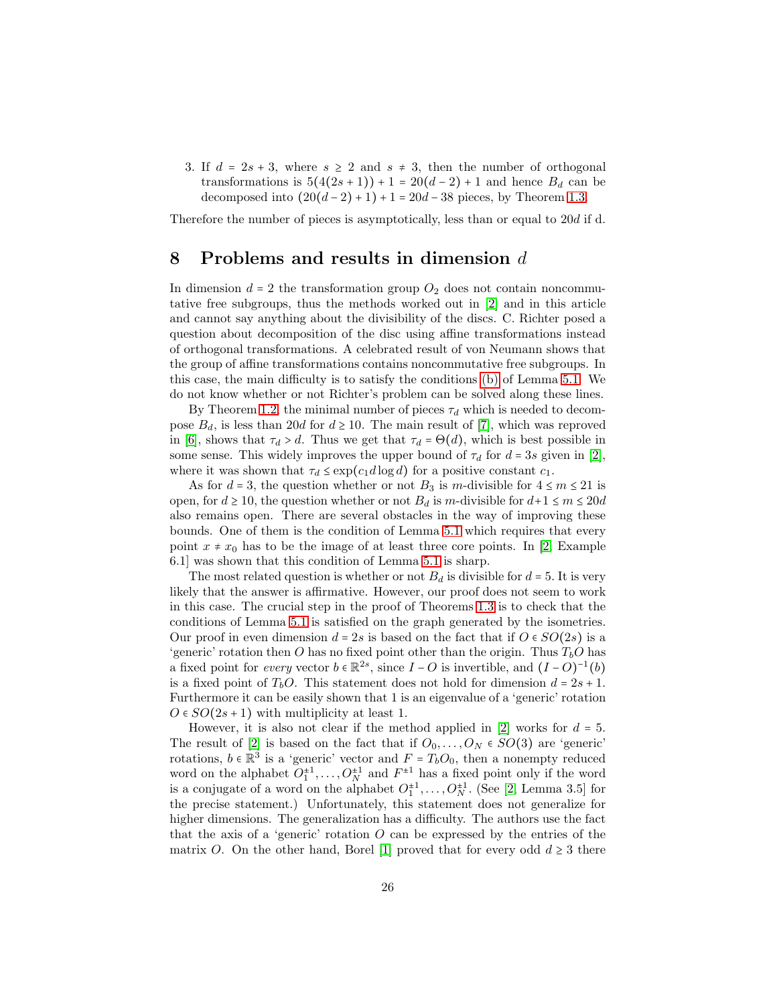3. If  $d = 2s + 3$ , where  $s \geq 2$  and  $s \neq 3$ , then the number of orthogonal transformations is  $5(4(2s+1))+1=20(d-2)+1$  and hence  $B_d$  can be decomposed into  $(20(d-2)+1)+1 = 20d-38$  pieces, by Theorem [1.3.](#page-1-2)

<span id="page-25-0"></span>Therefore the number of pieces is asymptotically, less than or equal to 20d if d.

### 8 Problems and results in dimension d

In dimension  $d = 2$  the transformation group  $O_2$  does not contain noncommutative free subgroups, thus the methods worked out in [\[2\]](#page-26-2) and in this article and cannot say anything about the divisibility of the discs. C. Richter posed a question about decomposition of the disc using affine transformations instead of orthogonal transformations. A celebrated result of von Neumann shows that the group of affine transformations contains noncommutative free subgroups. In this case, the main difficulty is to satisfy the conditions [\(b\)](#page-8-4) of Lemma [5.1.](#page-8-3) We do not know whether or not Richter's problem can be solved along these lines.

By Theorem [1.2,](#page-1-1) the minimal number of pieces  $\tau_d$  which is needed to decompose  $B_d$ , is less than 20d for  $d \ge 10$ . The main result of [\[7\]](#page-26-0), which was reproved in [\[6\]](#page-26-6), shows that  $\tau_d > d$ . Thus we get that  $\tau_d = \Theta(d)$ , which is best possible in some sense. This widely improves the upper bound of  $\tau_d$  for  $d = 3s$  given in [\[2\]](#page-26-2), where it was shown that  $\tau_d \leq \exp(c_1 d \log d)$  for a positive constant  $c_1$ .

As for  $d = 3$ , the question whether or not  $B_3$  is m-divisible for  $4 \le m \le 21$  is open, for  $d \ge 10$ , the question whether or not  $B_d$  is m-divisible for  $d+1 \le m \le 20d$ also remains open. There are several obstacles in the way of improving these bounds. One of them is the condition of Lemma [5.1](#page-8-3) which requires that every point  $x \neq x_0$  has to be the image of at least three core points. In [\[2,](#page-26-2) Example 6.1] was shown that this condition of Lemma [5.1](#page-8-3) is sharp.

The most related question is whether or not  $B_d$  is divisible for  $d = 5$ . It is very likely that the answer is affirmative. However, our proof does not seem to work in this case. The crucial step in the proof of Theorems [1.3](#page-1-2) is to check that the conditions of Lemma [5.1](#page-8-3) is satisfied on the graph generated by the isometries. Our proof in even dimension  $d = 2s$  is based on the fact that if  $O \in SO(2s)$  is a 'generic' rotation then O has no fixed point other than the origin. Thus  $T_bO$  has a fixed point for *every* vector  $b \in \mathbb{R}^{2s}$ , since  $I - O$  is invertible, and  $(I - O)^{-1}(b)$ is a fixed point of  $T_bO$ . This statement does not hold for dimension  $d = 2s + 1$ . Furthermore it can be easily shown that 1 is an eigenvalue of a 'generic' rotation  $O \in SO(2s+1)$  with multiplicity at least 1.

However, it is also not clear if the method applied in  $[2]$  works for  $d = 5$ . The result of [\[2\]](#page-26-2) is based on the fact that if  $O_0, \ldots, O_N \in SO(3)$  are 'generic' rotations,  $b \in \mathbb{R}^3$  is a 'generic' vector and  $F = T_b O_0$ , then a nonempty reduced word on the alphabet  $O_1^{\pm 1}, \ldots, O_N^{\pm 1}$  and  $F^{\pm 1}$  has a fixed point only if the word is a conjugate of a word on the alphabet  $O_1^{\pm 1}, \ldots, O_N^{\pm 1}$ . (See [\[2,](#page-26-2) Lemma 3.5] for the precise statement.) Unfortunately, this statement does not generalize for higher dimensions. The generalization has a difficulty. The authors use the fact that the axis of a 'generic' rotation  $O$  can be expressed by the entries of the matrix O. On the other hand, Borel [\[1\]](#page-26-7) proved that for every odd  $d \geq 3$  there